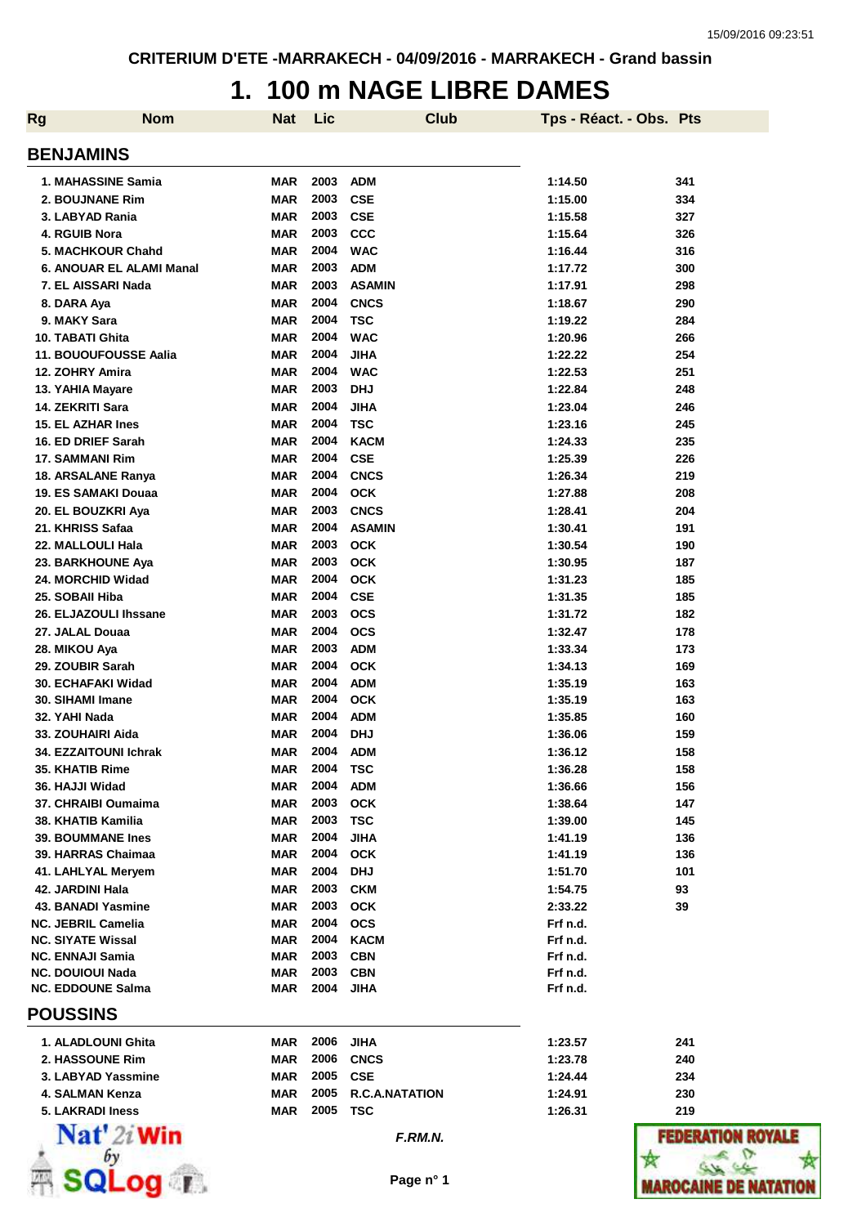### **1. 100 m NAGE LIBRE DAMES**

| <b>Nom</b><br><b>Rg</b>                        | Nat                      | Lic          |                           | <b>Club</b> | Tps - Réact. - Obs. Pts |            |
|------------------------------------------------|--------------------------|--------------|---------------------------|-------------|-------------------------|------------|
| <b>BENJAMINS</b>                               |                          |              |                           |             |                         |            |
| 1. MAHASSINE Samia                             | MAR                      | 2003         | <b>ADM</b>                |             | 1:14.50                 | 341        |
| 2. BOUJNANE Rim                                | <b>MAR</b>               | 2003         | <b>CSE</b>                |             | 1:15.00                 | 334        |
| 3. LABYAD Rania                                | <b>MAR</b>               | 2003         | <b>CSE</b>                |             | 1:15.58                 | 327        |
| 4. RGUIB Nora                                  | <b>MAR</b>               | 2003         | <b>CCC</b>                |             | 1:15.64                 | 326        |
| 5. MACHKOUR Chahd                              | <b>MAR</b>               | 2004         | <b>WAC</b>                |             | 1:16.44                 | 316        |
| 6. ANOUAR EL ALAMI Manal                       | <b>MAR</b>               | 2003         | <b>ADM</b>                |             | 1:17.72                 | 300        |
| 7. EL AISSARI Nada                             | <b>MAR</b>               | 2003         | <b>ASAMIN</b>             |             | 1:17.91                 | 298        |
| 8. DARA Aya                                    | <b>MAR</b>               | 2004         | <b>CNCS</b>               |             | 1:18.67                 | 290        |
| 9. MAKY Sara                                   | <b>MAR</b>               | 2004         | <b>TSC</b>                |             | 1:19.22                 | 284        |
| 10. TABATI Ghita                               | <b>MAR</b>               | 2004         | <b>WAC</b>                |             | 1:20.96                 | 266        |
| 11. BOUOUFOUSSE Aalia                          | <b>MAR</b>               | 2004         | <b>JIHA</b>               |             | 1:22.22                 | 254        |
| 12. ZOHRY Amira                                | <b>MAR</b>               | 2004         | <b>WAC</b>                |             | 1:22.53                 | 251        |
| 13. YAHIA Mayare                               | <b>MAR</b>               | 2003         | <b>DHJ</b>                |             | 1:22.84                 | 248        |
| 14. ZEKRITI Sara                               | <b>MAR</b>               | 2004<br>2004 | <b>JIHA</b>               |             | 1:23.04                 | 246        |
| <b>15. EL AZHAR Ines</b>                       | <b>MAR</b>               | 2004         | <b>TSC</b>                |             | 1:23.16                 | 245        |
| 16. ED DRIEF Sarah<br>17. SAMMANI Rim          | <b>MAR</b><br>MAR        | 2004         | <b>KACM</b><br><b>CSE</b> |             | 1:24.33<br>1:25.39      | 235<br>226 |
| 18. ARSALANE Ranya                             | MAR                      | 2004         | <b>CNCS</b>               |             | 1:26.34                 | 219        |
| 19. ES SAMAKI Douaa                            | <b>MAR</b>               | 2004         | <b>OCK</b>                |             | 1:27.88                 | 208        |
| 20. EL BOUZKRI Aya                             | <b>MAR</b>               | 2003         | <b>CNCS</b>               |             | 1:28.41                 | 204        |
| 21. KHRISS Safaa                               | <b>MAR</b>               | 2004         | <b>ASAMIN</b>             |             | 1:30.41                 | 191        |
| 22. MALLOULI Hala                              | <b>MAR</b>               | 2003         | <b>OCK</b>                |             | 1:30.54                 | 190        |
| 23. BARKHOUNE Aya                              | <b>MAR</b>               | 2003         | <b>OCK</b>                |             | 1:30.95                 | 187        |
| 24. MORCHID Widad                              | <b>MAR</b>               | 2004         | <b>OCK</b>                |             | 1:31.23                 | 185        |
| 25. SOBAII Hiba                                | <b>MAR</b>               | 2004         | <b>CSE</b>                |             | 1:31.35                 | 185        |
| 26. ELJAZOULI Ihssane                          | <b>MAR</b>               | 2003         | <b>OCS</b>                |             | 1:31.72                 | 182        |
| 27. JALAL Douaa                                | <b>MAR</b>               | 2004         | <b>OCS</b>                |             | 1:32.47                 | 178        |
| 28. MIKOU Aya                                  | <b>MAR</b>               | 2003         | <b>ADM</b>                |             | 1:33.34                 | 173        |
| 29. ZOUBIR Sarah                               | <b>MAR</b>               | 2004         | <b>OCK</b>                |             | 1:34.13                 | 169        |
| 30. ECHAFAKI Widad                             | <b>MAR</b>               | 2004         | <b>ADM</b>                |             | 1:35.19                 | 163        |
| 30. SIHAMI Imane                               | <b>MAR</b>               | 2004         | <b>OCK</b>                |             | 1:35.19                 | 163        |
| 32. YAHI Nada                                  | <b>MAR</b>               | 2004         | <b>ADM</b>                |             | 1:35.85                 | 160        |
| 33. ZOUHAIRI Aida                              | <b>MAR</b>               | 2004         | <b>DHJ</b>                |             | 1:36.06                 | 159        |
| <b>34. EZZAITOUNI Ichrak</b>                   | <b>MAR</b>               | 2004         | <b>ADM</b>                |             | 1:36.12                 | 158        |
| 35. KHATIB Rime                                | MAR                      | 2004         | TSC                       |             | 1:36.28                 | 158        |
| 36. HAJJI Widad                                | <b>MAR</b>               | 2004         | <b>ADM</b>                |             | 1:36.66                 | 156        |
| 37. CHRAIBI Oumaima                            | <b>MAR</b>               | 2003         | <b>OCK</b>                |             | 1:38.64                 | 147        |
| 38. KHATIB Kamilia<br><b>39. BOUMMANE Ines</b> | <b>MAR</b><br><b>MAR</b> | 2003<br>2004 | <b>TSC</b><br><b>JIHA</b> |             | 1:39.00<br>1:41.19      | 145<br>136 |
| 39. HARRAS Chaimaa                             | MAR                      | 2004         | <b>OCK</b>                |             | 1:41.19                 | 136        |
| 41. LAHLYAL Meryem                             | MAR                      | 2004         | <b>DHJ</b>                |             | 1:51.70                 | 101        |
| 42. JARDINI Hala                               | <b>MAR</b>               | 2003         | <b>CKM</b>                |             | 1:54.75                 | 93         |
| 43. BANADI Yasmine                             | MAR                      | 2003         | <b>OCK</b>                |             | 2:33.22                 | 39         |
| <b>NC. JEBRIL Camelia</b>                      | <b>MAR</b>               | 2004         | <b>OCS</b>                |             | Frf n.d.                |            |
| <b>NC. SIYATE Wissal</b>                       | <b>MAR</b>               | 2004         | <b>KACM</b>               |             | Frf n.d.                |            |
| <b>NC. ENNAJI Samia</b>                        | <b>MAR</b>               | 2003         | <b>CBN</b>                |             | Frf n.d.                |            |
| <b>NC. DOUIOUI Nada</b>                        | MAR                      | 2003         | <b>CBN</b>                |             | Frf n.d.                |            |
| <b>NC. EDDOUNE Salma</b>                       | <b>MAR</b>               | 2004         | <b>JIHA</b>               |             | Frf n.d.                |            |
| <b>POUSSINS</b>                                |                          |              |                           |             |                         |            |
| 1. ALADLOUNI Ghita                             | MAR                      | 2006         | <b>JIHA</b>               |             | 1:23.57                 | 241        |
| 2. HASSOUNE Rim                                | MAR                      | 2006         | <b>CNCS</b>               |             | 1:23.78                 | 240        |
| 3. LABYAD Yassmine                             | <b>MAR</b>               | 2005         | <b>CSE</b>                |             | 1:24.44                 | 234        |
| 4. SALMAN Kenza                                | <b>MAR</b>               | 2005         | <b>R.C.A.NATATION</b>     |             | 1:24.91                 | 230        |
| 5. LAKRADI Iness                               | <b>MAR</b>               | 2005         | <b>TSC</b>                |             | 1:26.31                 | 219        |
| $\mathbf{Nat}'$ 2i Win                         |                          |              | F.RM.N.                   |             |                         | FEDER      |
| QLog <sub>1</sub>                              |                          |              | Page n° 1                 |             |                         | MAROCAI    |

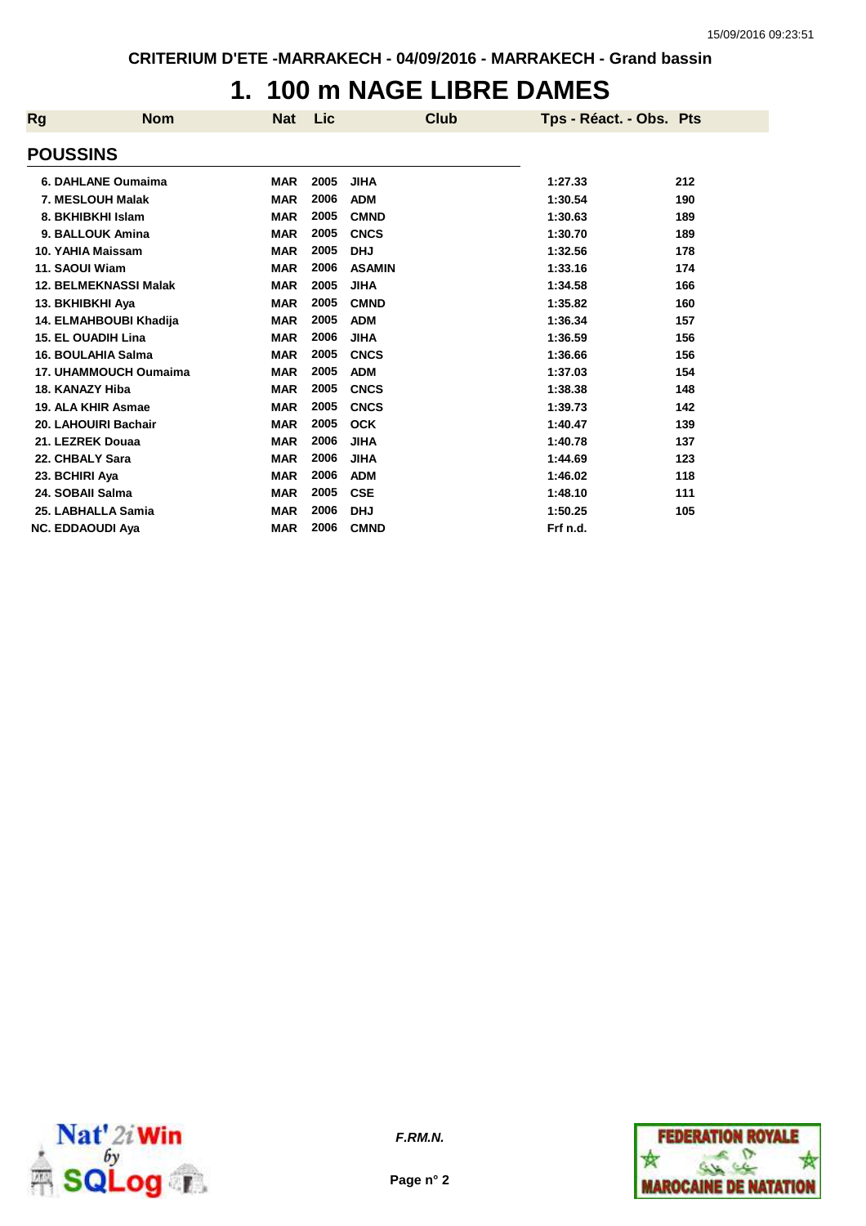### **1. 100 m NAGE LIBRE DAMES**

| Rg | <b>Nom</b>                   | <b>Nat</b> | <b>Lic</b> | <b>Club</b>   | Tps - Réact. - Obs. Pts |     |
|----|------------------------------|------------|------------|---------------|-------------------------|-----|
|    | <b>POUSSINS</b>              |            |            |               |                         |     |
|    | 6. DAHLANE Oumaima           | <b>MAR</b> | 2005       | <b>JIHA</b>   | 1:27.33                 | 212 |
|    | 7. MESLOUH Malak             | <b>MAR</b> | 2006       | <b>ADM</b>    | 1:30.54                 | 190 |
|    | 8. BKHIBKHI Islam            | <b>MAR</b> | 2005       | <b>CMND</b>   | 1:30.63                 | 189 |
|    | 9. BALLOUK Amina             | <b>MAR</b> | 2005       | <b>CNCS</b>   | 1:30.70                 | 189 |
|    | 10. YAHIA Maissam            | <b>MAR</b> | 2005       | <b>DHJ</b>    | 1:32.56                 | 178 |
|    | 11. SAOUI Wiam               | <b>MAR</b> | 2006       | <b>ASAMIN</b> | 1:33.16                 | 174 |
|    | <b>12. BELMEKNASSI Malak</b> | <b>MAR</b> | 2005       | <b>JIHA</b>   | 1:34.58                 | 166 |
|    | 13. BKHIBKHI Aya             | <b>MAR</b> | 2005       | <b>CMND</b>   | 1:35.82                 | 160 |
|    | 14. ELMAHBOUBI Khadija       | <b>MAR</b> | 2005       | <b>ADM</b>    | 1:36.34                 | 157 |
|    | <b>15. EL OUADIH Lina</b>    | <b>MAR</b> | 2006       | <b>JIHA</b>   | 1:36.59                 | 156 |
|    | 16. BOULAHIA Salma           | <b>MAR</b> | 2005       | <b>CNCS</b>   | 1:36.66                 | 156 |
|    | 17. UHAMMOUCH Oumaima        | <b>MAR</b> | 2005       | <b>ADM</b>    | 1:37.03                 | 154 |
|    | 18. KANAZY Hiba              | <b>MAR</b> | 2005       | <b>CNCS</b>   | 1:38.38                 | 148 |
|    | 19. ALA KHIR Asmae           | <b>MAR</b> | 2005       | <b>CNCS</b>   | 1:39.73                 | 142 |
|    | 20. LAHOUIRI Bachair         | <b>MAR</b> | 2005       | <b>OCK</b>    | 1:40.47                 | 139 |
|    | 21. LEZREK Douaa             | <b>MAR</b> | 2006       | <b>JIHA</b>   | 1:40.78                 | 137 |
|    | 22. CHBALY Sara              | <b>MAR</b> | 2006       | <b>JIHA</b>   | 1:44.69                 | 123 |
|    | 23. BCHIRI Aya               | <b>MAR</b> | 2006       | <b>ADM</b>    | 1:46.02                 | 118 |
|    | 24. SOBAII Salma             | <b>MAR</b> | 2005       | <b>CSE</b>    | 1:48.10                 | 111 |
|    | 25. LABHALLA Samia           | <b>MAR</b> | 2006       | <b>DHJ</b>    | 1:50.25                 | 105 |
|    | <b>NC. EDDAOUDI Aya</b>      | <b>MAR</b> | 2006       | <b>CMND</b>   | Frf n.d.                |     |



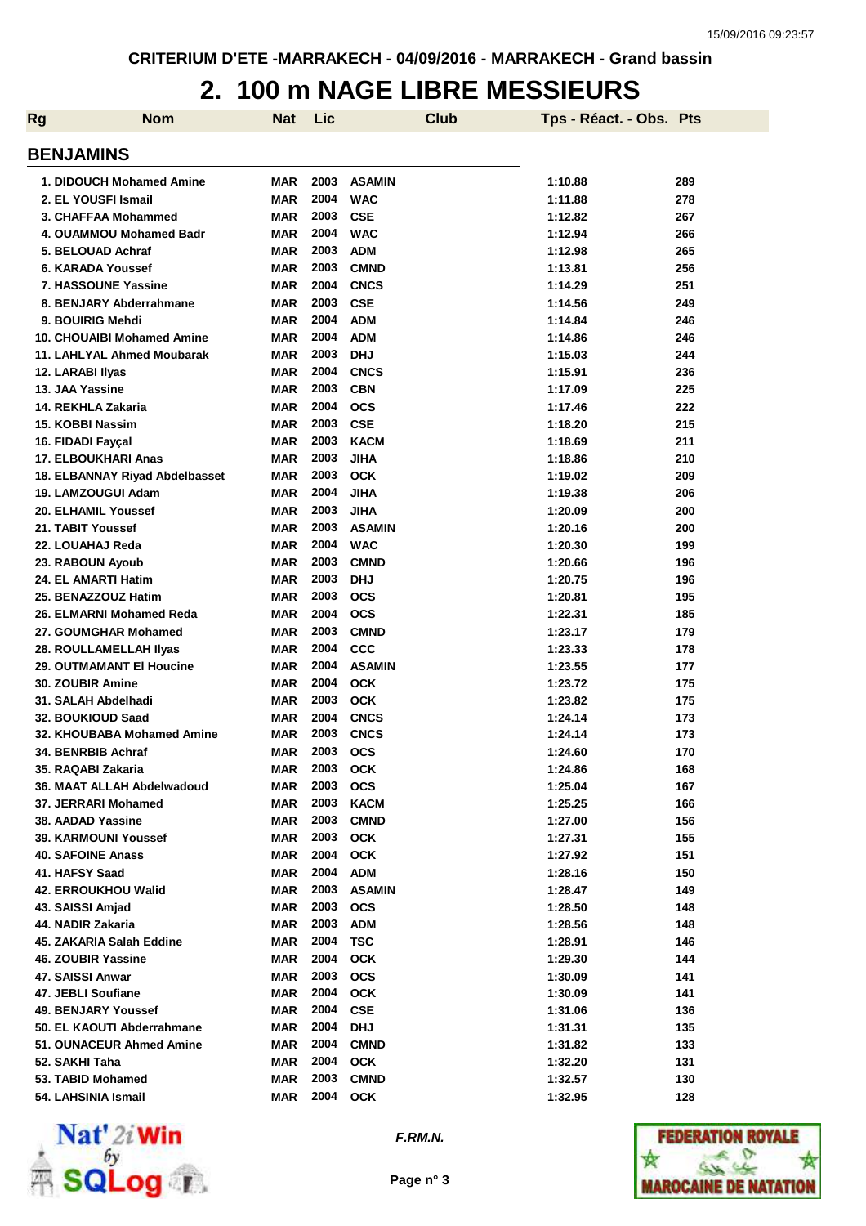### **2. 100 m NAGE LIBRE MESSIEURS**

| Rg                              | <b>Nom</b>                     | Nat        | Lic  |               | <b>Club</b> | Tps - Réact. - Obs. Pts |     |
|---------------------------------|--------------------------------|------------|------|---------------|-------------|-------------------------|-----|
| <b>BENJAMINS</b>                |                                |            |      |               |             |                         |     |
| 1. DIDOUCH Mohamed Amine        |                                | <b>MAR</b> | 2003 | <b>ASAMIN</b> |             | 1:10.88                 | 289 |
| 2. EL YOUSFI Ismail             |                                | <b>MAR</b> | 2004 | <b>WAC</b>    |             | 1:11.88                 | 278 |
| 3. CHAFFAA Mohammed             |                                | <b>MAR</b> | 2003 | <b>CSE</b>    |             | 1:12.82                 | 267 |
| 4. OUAMMOU Mohamed Badr         |                                | <b>MAR</b> | 2004 | <b>WAC</b>    |             | 1:12.94                 | 266 |
| 5. BELOUAD Achraf               |                                | <b>MAR</b> | 2003 | <b>ADM</b>    |             | 1:12.98                 | 265 |
| 6. KARADA Youssef               |                                | <b>MAR</b> | 2003 | <b>CMND</b>   |             | 1:13.81                 | 256 |
| 7. HASSOUNE Yassine             |                                | <b>MAR</b> | 2004 | <b>CNCS</b>   |             | 1:14.29                 | 251 |
| 8. BENJARY Abderrahmane         |                                | <b>MAR</b> | 2003 | <b>CSE</b>    |             | 1:14.56                 | 249 |
| 9. BOUIRIG Mehdi                |                                | <b>MAR</b> | 2004 | <b>ADM</b>    |             | 1:14.84                 | 246 |
| 10. CHOUAIBI Mohamed Amine      |                                | <b>MAR</b> | 2004 | <b>ADM</b>    |             | 1:14.86                 | 246 |
| 11. LAHLYAL Ahmed Moubarak      |                                | <b>MAR</b> | 2003 | <b>DHJ</b>    |             | 1:15.03                 | 244 |
| 12. LARABI Ilyas                |                                | <b>MAR</b> | 2004 | <b>CNCS</b>   |             | 1:15.91                 | 236 |
| 13. JAA Yassine                 |                                | <b>MAR</b> | 2003 | <b>CBN</b>    |             | 1:17.09                 | 225 |
| 14. REKHLA Zakaria              |                                | <b>MAR</b> | 2004 | <b>OCS</b>    |             | 1:17.46                 | 222 |
| 15. KOBBI Nassim                |                                | <b>MAR</b> | 2003 | <b>CSE</b>    |             | 1:18.20                 | 215 |
| 16. FIDADI Fayçal               |                                | <b>MAR</b> | 2003 | <b>KACM</b>   |             | 1:18.69                 | 211 |
| <b>17. ELBOUKHARI Anas</b>      |                                | <b>MAR</b> | 2003 | <b>JIHA</b>   |             | 1:18.86                 | 210 |
|                                 | 18. ELBANNAY Riyad Abdelbasset | <b>MAR</b> | 2003 | <b>OCK</b>    |             | 1:19.02                 | 209 |
| 19. LAMZOUGUI Adam              |                                | <b>MAR</b> | 2004 | <b>JIHA</b>   |             | 1:19.38                 | 206 |
| 20. ELHAMIL Youssef             |                                | <b>MAR</b> | 2003 | <b>JIHA</b>   |             | 1:20.09                 | 200 |
| 21. TABIT Youssef               |                                | <b>MAR</b> | 2003 | <b>ASAMIN</b> |             | 1:20.16                 | 200 |
| 22. LOUAHAJ Reda                |                                | <b>MAR</b> | 2004 | <b>WAC</b>    |             | 1:20.30                 | 199 |
| 23. RABOUN Ayoub                |                                | <b>MAR</b> | 2003 | <b>CMND</b>   |             | 1:20.66                 | 196 |
| 24. EL AMARTI Hatim             |                                | <b>MAR</b> | 2003 | <b>DHJ</b>    |             | 1:20.75                 | 196 |
| 25. BENAZZOUZ Hatim             |                                | <b>MAR</b> | 2003 | <b>OCS</b>    |             | 1:20.81                 | 195 |
| 26. ELMARNI Mohamed Reda        |                                | <b>MAR</b> | 2004 | <b>OCS</b>    |             | 1:22.31                 | 185 |
| 27. GOUMGHAR Mohamed            |                                | <b>MAR</b> | 2003 | <b>CMND</b>   |             | 1:23.17                 | 179 |
| 28. ROULLAMELLAH IIyas          |                                | <b>MAR</b> | 2004 | <b>CCC</b>    |             | 1:23.33                 | 178 |
| <b>29. OUTMAMANT EI Houcine</b> |                                | <b>MAR</b> | 2004 | <b>ASAMIN</b> |             | 1:23.55                 | 177 |
| 30. ZOUBIR Amine                |                                | <b>MAR</b> | 2004 | <b>OCK</b>    |             | 1:23.72                 | 175 |
| 31. SALAH Abdelhadi             |                                | <b>MAR</b> | 2003 | <b>OCK</b>    |             | 1:23.82                 | 175 |
| 32. BOUKIOUD Saad               |                                | <b>MAR</b> | 2004 | <b>CNCS</b>   |             | 1:24.14                 | 173 |
|                                 | 32. KHOUBABA Mohamed Amine     | <b>MAR</b> | 2003 | <b>CNCS</b>   |             | 1:24.14                 | 173 |
| 34. BENRBIB Achraf              |                                | <b>MAR</b> | 2003 | <b>OCS</b>    |             | 1:24.60                 | 170 |
| 35. RAQABI Zakaria              |                                | MAR        | 2003 | <b>OCK</b>    |             | 1:24.86                 | 168 |
| 36. MAAT ALLAH Abdelwadoud      |                                | <b>MAR</b> | 2003 | <b>OCS</b>    |             | 1:25.04                 | 167 |
| 37. JERRARI Mohamed             |                                | <b>MAR</b> | 2003 | <b>KACM</b>   |             | 1:25.25                 | 166 |
| 38. AADAD Yassine               |                                | <b>MAR</b> | 2003 | <b>CMND</b>   |             | 1:27.00                 | 156 |
| <b>39. KARMOUNI Youssef</b>     |                                | <b>MAR</b> | 2003 | <b>OCK</b>    |             | 1:27.31                 | 155 |
| <b>40. SAFOINE Anass</b>        |                                | <b>MAR</b> | 2004 | <b>OCK</b>    |             | 1:27.92                 | 151 |
| 41. HAFSY Saad                  |                                | <b>MAR</b> | 2004 | <b>ADM</b>    |             | 1:28.16                 | 150 |
| <b>42. ERROUKHOU Walid</b>      |                                | <b>MAR</b> | 2003 | <b>ASAMIN</b> |             | 1:28.47                 | 149 |
| 43. SAISSI Amjad                |                                | <b>MAR</b> | 2003 | <b>OCS</b>    |             | 1:28.50                 | 148 |
| 44. NADIR Zakaria               |                                | <b>MAR</b> | 2003 | <b>ADM</b>    |             | 1:28.56                 | 148 |
| 45. ZAKARIA Salah Eddine        |                                | <b>MAR</b> | 2004 | <b>TSC</b>    |             | 1:28.91                 | 146 |
| 46. ZOUBIR Yassine              |                                | MAR        | 2004 | <b>OCK</b>    |             | 1:29.30                 | 144 |
| 47. SAISSI Anwar                |                                | MAR        | 2003 | <b>OCS</b>    |             | 1:30.09                 | 141 |
| 47. JEBLI Soufiane              |                                | <b>MAR</b> | 2004 | <b>OCK</b>    |             | 1:30.09                 | 141 |
| 49. BENJARY Youssef             |                                | <b>MAR</b> | 2004 | <b>CSE</b>    |             | 1:31.06                 | 136 |
| 50. EL KAOUTI Abderrahmane      |                                | MAR        | 2004 | <b>DHJ</b>    |             | 1:31.31                 | 135 |
| 51. OUNACEUR Ahmed Amine        |                                | MAR        | 2004 | <b>CMND</b>   |             | 1:31.82                 | 133 |
| 52. SAKHI Taha                  |                                | MAR        | 2004 | <b>OCK</b>    |             | 1:32.20                 | 131 |
| 53. TABID Mohamed               |                                | <b>MAR</b> | 2003 | <b>CMND</b>   |             | 1:32.57                 | 130 |
| 54. LAHSINIA Ismail             |                                | <b>MAR</b> | 2004 | <b>OCK</b>    |             | 1:32.95                 | 128 |





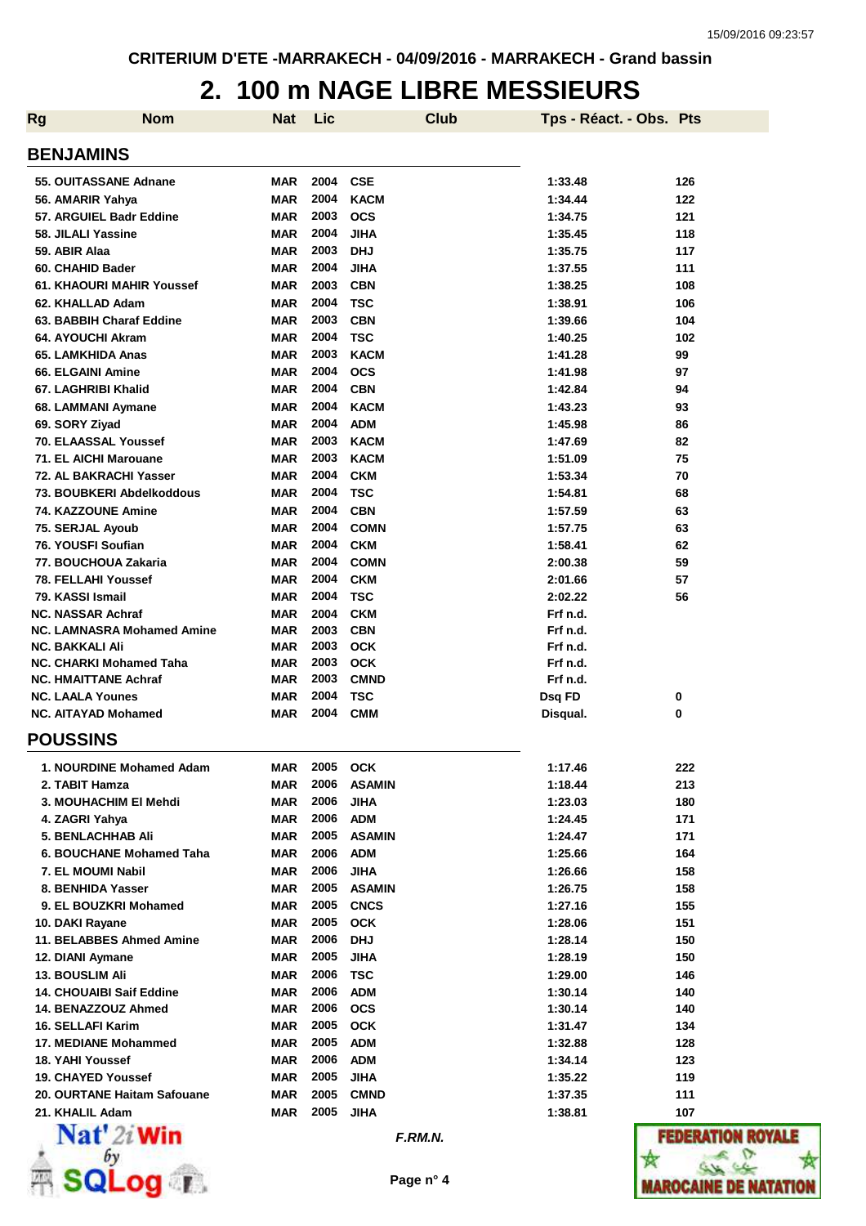#### **2. 100 m NAGE LIBRE MESSIEURS**

| <b>Rg</b> | <b>Nom</b>                                             | <b>Nat</b>               | Lic          | <b>Club</b>               | Tps - Réact. - Obs. Pts |                   |
|-----------|--------------------------------------------------------|--------------------------|--------------|---------------------------|-------------------------|-------------------|
|           | <b>BENJAMINS</b>                                       |                          |              |                           |                         |                   |
|           | 55. OUITASSANE Adnane                                  | MAR                      | 2004         | <b>CSE</b>                | 1:33.48                 | 126               |
|           | 56. AMARIR Yahya                                       | <b>MAR</b>               | 2004         | <b>KACM</b>               | 1:34.44                 | 122               |
|           | 57. ARGUIEL Badr Eddine                                | <b>MAR</b>               | 2003         | <b>OCS</b>                | 1:34.75                 | 121               |
|           | 58. JILALI Yassine                                     | MAR                      | 2004         | <b>JIHA</b>               | 1:35.45                 | 118               |
|           | 59. ABIR Alaa                                          | <b>MAR</b>               | 2003         | <b>DHJ</b>                | 1:35.75                 | 117               |
|           | 60. CHAHID Bader                                       | MAR                      | 2004         | <b>JIHA</b>               | 1:37.55                 | 111               |
|           | 61. KHAOURI MAHIR Youssef                              | <b>MAR</b>               | 2003         | <b>CBN</b>                | 1:38.25                 | 108               |
|           | 62. KHALLAD Adam                                       | <b>MAR</b>               | 2004         | <b>TSC</b>                | 1:38.91                 | 106               |
|           | 63. BABBIH Charaf Eddine                               | <b>MAR</b>               | 2003         | <b>CBN</b>                | 1:39.66                 | 104               |
|           | 64. AYOUCHI Akram                                      | <b>MAR</b>               | 2004         | TSC                       | 1:40.25                 | 102               |
|           | 65. LAMKHIDA Anas                                      | <b>MAR</b>               | 2003         | <b>KACM</b>               | 1:41.28                 | 99                |
|           | 66. ELGAINI Amine                                      | <b>MAR</b>               | 2004         | <b>OCS</b>                | 1:41.98                 | 97                |
|           | 67. LAGHRIBI Khalid                                    | <b>MAR</b>               | 2004<br>2004 | <b>CBN</b><br><b>KACM</b> | 1:42.84                 | 94                |
|           | 68. LAMMANI Aymane                                     | <b>MAR</b><br><b>MAR</b> | 2004         | <b>ADM</b>                | 1:43.23<br>1:45.98      | 93                |
|           | 69. SORY Ziyad<br><b>70. ELAASSAL Youssef</b>          | <b>MAR</b>               | 2003         | <b>KACM</b>               | 1:47.69                 | 86<br>82          |
|           | 71. EL AICHI Marouane                                  | <b>MAR</b>               | 2003         | <b>KACM</b>               | 1:51.09                 | 75                |
|           | 72. AL BAKRACHI Yasser                                 | <b>MAR</b>               | 2004         | <b>CKM</b>                | 1:53.34                 | 70                |
|           | 73. BOUBKERI Abdelkoddous                              | <b>MAR</b>               | 2004         | <b>TSC</b>                | 1:54.81                 | 68                |
|           | 74. KAZZOUNE Amine                                     | <b>MAR</b>               | 2004         | <b>CBN</b>                | 1:57.59                 | 63                |
|           | 75. SERJAL Ayoub                                       | <b>MAR</b>               | 2004         | <b>COMN</b>               | 1:57.75                 | 63                |
|           | 76. YOUSFI Soufian                                     | <b>MAR</b>               | 2004         | <b>CKM</b>                | 1:58.41                 | 62                |
|           | 77. BOUCHOUA Zakaria                                   | <b>MAR</b>               | 2004         | <b>COMN</b>               | 2:00.38                 | 59                |
|           | <b>78. FELLAHI Youssef</b>                             | <b>MAR</b>               | 2004         | <b>CKM</b>                | 2:01.66                 | 57                |
|           | 79. KASSI Ismail                                       | <b>MAR</b>               | 2004         | <b>TSC</b>                | 2:02.22                 | 56                |
|           | <b>NC. NASSAR Achraf</b>                               | <b>MAR</b>               | 2004         | <b>CKM</b>                | Frf n.d.                |                   |
|           | NC. LAMNASRA Mohamed Amine                             | <b>MAR</b>               | 2003         | <b>CBN</b>                | Frf n.d.                |                   |
|           | <b>NC. BAKKALI Ali</b>                                 | <b>MAR</b>               | 2003         | <b>OCK</b>                | Frf n.d.                |                   |
|           | <b>NC. CHARKI Mohamed Taha</b>                         | <b>MAR</b>               | 2003         | <b>OCK</b>                | Frf n.d.                |                   |
|           | <b>NC. HMAITTANE Achraf</b>                            | <b>MAR</b>               | 2003         | <b>CMND</b>               | Frf n.d.                |                   |
|           | <b>NC. LAALA Younes</b>                                | <b>MAR</b>               | 2004         | TSC                       | Dsq FD                  | 0                 |
|           | <b>NC. AITAYAD Mohamed</b>                             | <b>MAR</b>               | 2004         | <b>CMM</b>                | Disqual.                | 0                 |
|           | <b>POUSSINS</b>                                        |                          |              |                           |                         |                   |
|           | 1. NOURDINE Mohamed Adam                               | MAR                      | 2005         | <b>OCK</b>                | 1:17.46                 | 222               |
|           | 2. TABIT Hamza                                         | MAR                      | 2006         | <b>ASAMIN</b>             | 1:18.44                 | 213               |
|           | 3. MOUHACHIM EI Mehdi                                  | MAR                      | 2006         | <b>JIHA</b>               | 1:23.03                 | 180               |
|           | 4. ZAGRI Yahya                                         | <b>MAR</b>               | 2006         | <b>ADM</b>                | 1:24.45                 | 171               |
|           | <b>5. BENLACHHAB Ali</b>                               | MAR                      | 2005         | <b>ASAMIN</b>             | 1:24.47                 | 171               |
|           | 6. BOUCHANE Mohamed Taha                               | MAR                      | 2006         | <b>ADM</b>                | 1:25.66                 | 164               |
|           | 7. EL MOUMI Nabil                                      | MAR                      | 2006         | <b>JIHA</b>               | 1:26.66                 | 158               |
|           | 8. BENHIDA Yasser                                      | MAR                      | 2005         | <b>ASAMIN</b>             | 1:26.75                 | 158               |
|           | 9. EL BOUZKRI Mohamed                                  | MAR                      | 2005         | <b>CNCS</b>               | 1:27.16                 | 155               |
|           | 10. DAKI Rayane                                        | <b>MAR</b>               | 2005         | <b>OCK</b>                | 1:28.06                 | 151               |
|           | 11. BELABBES Ahmed Amine                               | MAR                      | 2006         | <b>DHJ</b>                | 1:28.14                 | 150               |
|           | 12. DIANI Aymane                                       | MAR                      | 2005         | <b>JIHA</b>               | 1:28.19                 | 150               |
|           | <b>13. BOUSLIM Ali</b>                                 | MAR                      | 2006<br>2006 | <b>TSC</b>                | 1:29.00                 | 146               |
|           | <b>14. CHOUAIBI Saif Eddine</b><br>14. BENAZZOUZ Ahmed | MAR<br>MAR               | 2006         | <b>ADM</b><br><b>OCS</b>  | 1:30.14<br>1:30.14      | 140<br>140        |
|           | 16. SELLAFI Karim                                      | MAR                      | 2005         | <b>OCK</b>                | 1:31.47                 | 134               |
|           | 17. MEDIANE Mohammed                                   | MAR                      | 2005         | <b>ADM</b>                | 1:32.88                 | 128               |
|           | 18. YAHI Youssef                                       | MAR                      | 2006         | <b>ADM</b>                | 1:34.14                 | 123               |
|           | <b>19. CHAYED Youssef</b>                              | MAR                      | 2005         | <b>JIHA</b>               | 1:35.22                 | 119               |
|           | 20. OURTANE Haitam Safouane                            | MAR                      | 2005         | <b>CMND</b>               | 1:37.35                 | 111               |
|           | 21. KHALIL Adam                                        | MAR                      | 2005         | <b>JIHA</b>               | 1:38.81                 | 107               |
|           | $\mathbf{Nat}'$ 2i Win                                 |                          |              | F.RM.N.                   |                         | <b>FEDERATION</b> |
|           |                                                        |                          |              |                           |                         |                   |
|           |                                                        |                          |              | Page n° 4                 |                         | IAROCAINE DE      |

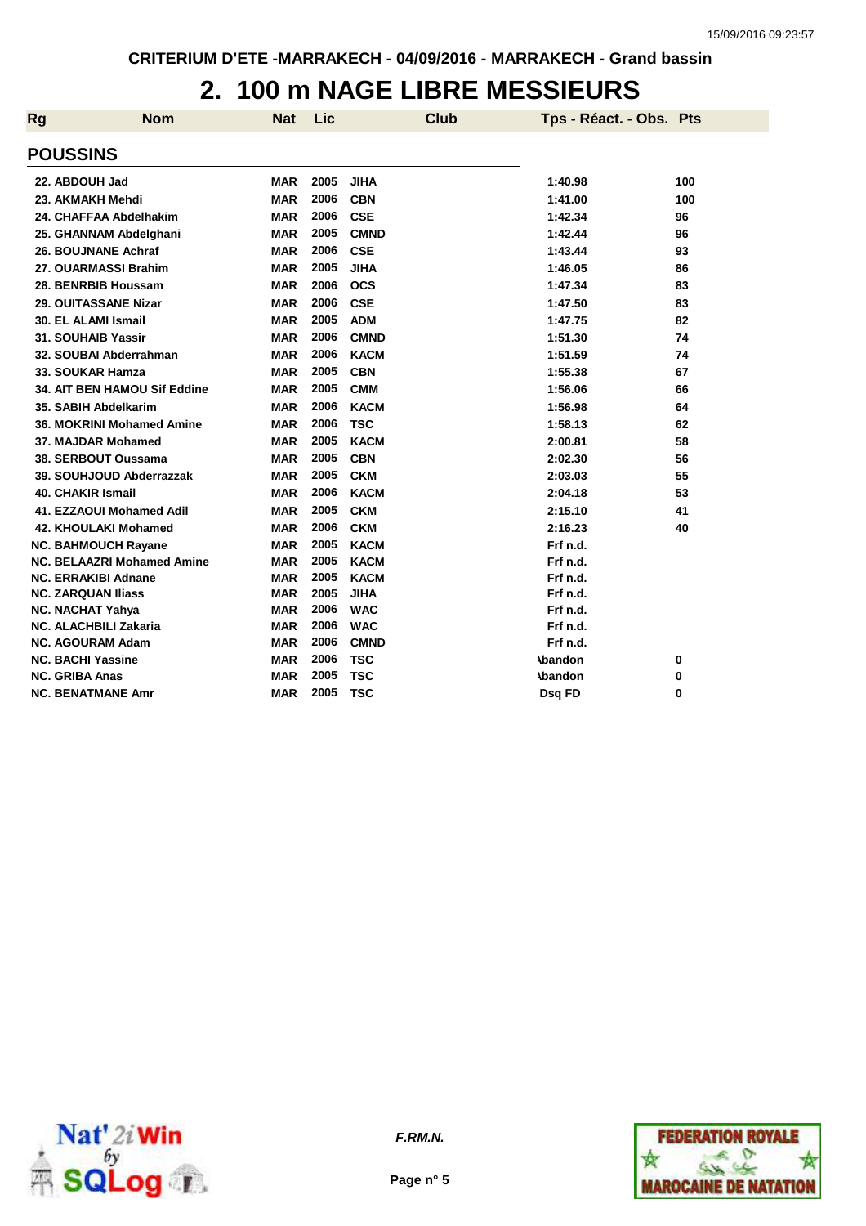### **2. 100 m NAGE LIBRE MESSIEURS**

| Rg | <b>Nom</b>                        | <b>Nat</b> | Lic  |             | <b>Club</b> | Tps - Réact. - Obs. Pts |     |
|----|-----------------------------------|------------|------|-------------|-------------|-------------------------|-----|
|    | <b>POUSSINS</b>                   |            |      |             |             |                         |     |
|    | 22. ABDOUH Jad                    | <b>MAR</b> | 2005 | <b>JIHA</b> |             | 1:40.98                 | 100 |
|    | 23. AKMAKH Mehdi                  | <b>MAR</b> | 2006 | <b>CBN</b>  |             | 1:41.00                 | 100 |
|    | 24. CHAFFAA Abdelhakim            | MAR        | 2006 | <b>CSE</b>  |             | 1:42.34                 | 96  |
|    | 25. GHANNAM Abdelghani            | MAR        | 2005 | <b>CMND</b> |             | 1:42.44                 | 96  |
|    | 26. BOUJNANE Achraf               | <b>MAR</b> | 2006 | <b>CSE</b>  |             | 1:43.44                 | 93  |
|    | 27. OUARMASSI Brahim              | <b>MAR</b> | 2005 | <b>JIHA</b> |             | 1:46.05                 | 86  |
|    | 28. BENRBIB Houssam               | <b>MAR</b> | 2006 | <b>OCS</b>  |             | 1:47.34                 | 83  |
|    | 29. OUITASSANE Nizar              | MAR        | 2006 | <b>CSE</b>  |             | 1:47.50                 | 83  |
|    | 30. EL ALAMI Ismail               | MAR        | 2005 | <b>ADM</b>  |             | 1:47.75                 | 82  |
|    | 31. SOUHAIB Yassir                | MAR        | 2006 | <b>CMND</b> |             | 1:51.30                 | 74  |
|    | 32. SOUBAI Abderrahman            | <b>MAR</b> | 2006 | <b>KACM</b> |             | 1:51.59                 | 74  |
|    | 33. SOUKAR Hamza                  | <b>MAR</b> | 2005 | <b>CBN</b>  |             | 1:55.38                 | 67  |
|    | 34. AIT BEN HAMOU Sif Eddine      | <b>MAR</b> | 2005 | <b>CMM</b>  |             | 1:56.06                 | 66  |
|    | 35. SABIH Abdelkarim              | <b>MAR</b> | 2006 | <b>KACM</b> |             | 1:56.98                 | 64  |
|    | 36. MOKRINI Mohamed Amine         | <b>MAR</b> | 2006 | <b>TSC</b>  |             | 1:58.13                 | 62  |
|    | 37. MAJDAR Mohamed                | MAR        | 2005 | <b>KACM</b> |             | 2:00.81                 | 58  |
|    | 38. SERBOUT Oussama               | <b>MAR</b> | 2005 | <b>CBN</b>  |             | 2:02.30                 | 56  |
|    | 39. SOUHJOUD Abderrazzak          | MAR        | 2005 | <b>CKM</b>  |             | 2:03.03                 | 55  |
|    | <b>40. CHAKIR Ismail</b>          | MAR        | 2006 | <b>KACM</b> |             | 2:04.18                 | 53  |
|    | 41. EZZAOUI Mohamed Adil          | <b>MAR</b> | 2005 | <b>CKM</b>  |             | 2:15.10                 | 41  |
|    | 42. KHOULAKI Mohamed              | MAR        | 2006 | <b>CKM</b>  |             | 2:16.23                 | 40  |
|    | <b>NC. BAHMOUCH Rayane</b>        | MAR        | 2005 | <b>KACM</b> |             | Frf n.d.                |     |
|    | <b>NC. BELAAZRI Mohamed Amine</b> | <b>MAR</b> | 2005 | <b>KACM</b> |             | Frf n.d.                |     |
|    | <b>NC. ERRAKIBI Adnane</b>        | MAR        | 2005 | <b>KACM</b> |             | Frf n.d.                |     |
|    | <b>NC. ZARQUAN Iliass</b>         | MAR        | 2005 | <b>JIHA</b> |             | Frf n.d.                |     |
|    | <b>NC. NACHAT Yahya</b>           | <b>MAR</b> | 2006 | <b>WAC</b>  |             | Frf n.d.                |     |
|    | <b>NC. ALACHBILI Zakaria</b>      | <b>MAR</b> | 2006 | <b>WAC</b>  |             | Frf n.d.                |     |
|    | <b>NC. AGOURAM Adam</b>           | <b>MAR</b> | 2006 | <b>CMND</b> |             | Frf n.d.                |     |
|    | <b>NC. BACHI Yassine</b>          | MAR        | 2006 | <b>TSC</b>  |             | <b>\bandon</b>          | 0   |
|    | <b>NC. GRIBA Anas</b>             | <b>MAR</b> | 2005 | <b>TSC</b>  |             | <b>\bandon</b>          | 0   |
|    | <b>NC. BENATMANE Amr</b>          | MAR        | 2005 | <b>TSC</b>  |             | Dsq FD                  | 0   |



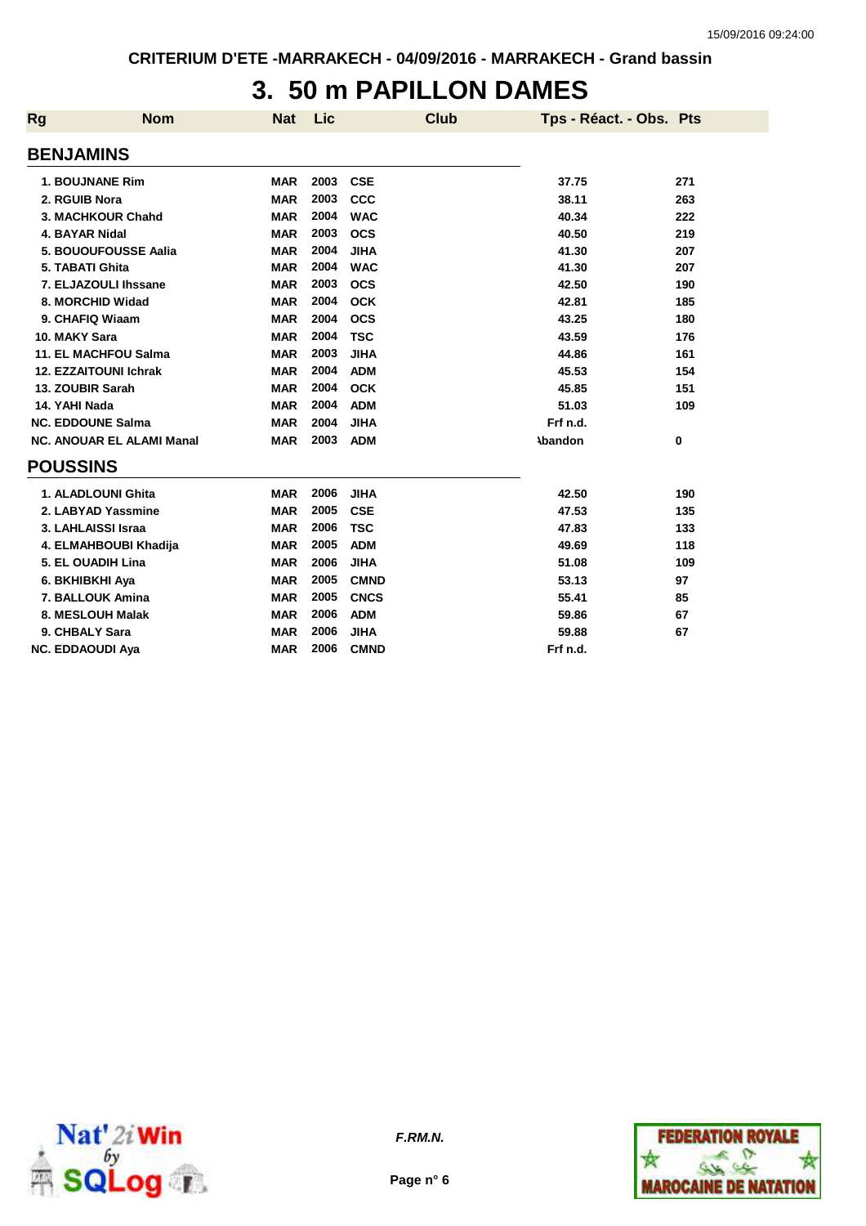# **3. 50 m PAPILLON DAMES**

| Rg              | <b>Nom</b>                       | <b>Nat</b> | Lic  | <b>Club</b> | Tps - Réact. - Obs. Pts |     |
|-----------------|----------------------------------|------------|------|-------------|-------------------------|-----|
|                 | <b>BENJAMINS</b>                 |            |      |             |                         |     |
|                 |                                  |            |      |             |                         |     |
|                 | <b>1. BOUJNANE Rim</b>           | <b>MAR</b> | 2003 | <b>CSE</b>  | 37.75                   | 271 |
|                 | 2. RGUIB Nora                    | <b>MAR</b> | 2003 | <b>CCC</b>  | 38.11                   | 263 |
|                 | 3. MACHKOUR Chahd                | <b>MAR</b> | 2004 | <b>WAC</b>  | 40.34                   | 222 |
|                 | 4. BAYAR Nidal                   | <b>MAR</b> | 2003 | <b>OCS</b>  | 40.50                   | 219 |
|                 | 5. BOUOUFOUSSE Aalia             | <b>MAR</b> | 2004 | <b>JIHA</b> | 41.30                   | 207 |
|                 | 5. TABATI Ghita                  | <b>MAR</b> | 2004 | <b>WAC</b>  | 41.30                   | 207 |
|                 | 7. ELJAZOULI Ihssane             | <b>MAR</b> | 2003 | <b>OCS</b>  | 42.50                   | 190 |
|                 | 8. MORCHID Widad                 | <b>MAR</b> | 2004 | <b>OCK</b>  | 42.81                   | 185 |
|                 | 9. CHAFIQ Wiaam                  | <b>MAR</b> | 2004 | <b>OCS</b>  | 43.25                   | 180 |
|                 | 10. MAKY Sara                    | <b>MAR</b> | 2004 | <b>TSC</b>  | 43.59                   | 176 |
|                 | <b>11. EL MACHFOU Salma</b>      | <b>MAR</b> | 2003 | <b>JIHA</b> | 44.86                   | 161 |
|                 | <b>12. EZZAITOUNI Ichrak</b>     | <b>MAR</b> | 2004 | <b>ADM</b>  | 45.53                   | 154 |
|                 | 13. ZOUBIR Sarah                 | <b>MAR</b> | 2004 | <b>OCK</b>  | 45.85                   | 151 |
| 14. YAHI Nada   |                                  | <b>MAR</b> | 2004 | <b>ADM</b>  | 51.03                   | 109 |
|                 | <b>NC. EDDOUNE Salma</b>         | <b>MAR</b> | 2004 | <b>JIHA</b> | Frf n.d.                |     |
|                 | <b>NC. ANOUAR EL ALAMI Manal</b> | <b>MAR</b> | 2003 | <b>ADM</b>  | <b>\bandon</b>          | 0   |
| <b>POUSSINS</b> |                                  |            |      |             |                         |     |
|                 | 1. ALADLOUNI Ghita               | <b>MAR</b> | 2006 | <b>JIHA</b> | 42.50                   | 190 |
|                 | 2. LABYAD Yassmine               | <b>MAR</b> | 2005 | <b>CSE</b>  | 47.53                   | 135 |
|                 | 3. LAHLAISSI Israa               | <b>MAR</b> | 2006 | <b>TSC</b>  | 47.83                   | 133 |
|                 | 4. ELMAHBOUBI Khadija            | <b>MAR</b> | 2005 | <b>ADM</b>  | 49.69                   | 118 |
|                 | 5. EL OUADIH Lina                | <b>MAR</b> | 2006 | <b>JIHA</b> | 51.08                   | 109 |
|                 | 6. BKHIBKHI Aya                  | <b>MAR</b> | 2005 | <b>CMND</b> | 53.13                   | 97  |
|                 | 7. BALLOUK Amina                 | <b>MAR</b> | 2005 | <b>CNCS</b> | 55.41                   | 85  |
|                 | 8. MESLOUH Malak                 | <b>MAR</b> | 2006 | <b>ADM</b>  | 59.86                   | 67  |
|                 | 9. CHBALY Sara                   | <b>MAR</b> | 2006 | <b>JIHA</b> | 59.88                   | 67  |
|                 | <b>NC. EDDAOUDI Ava</b>          | <b>MAR</b> | 2006 | <b>CMND</b> | Frf n.d.                |     |



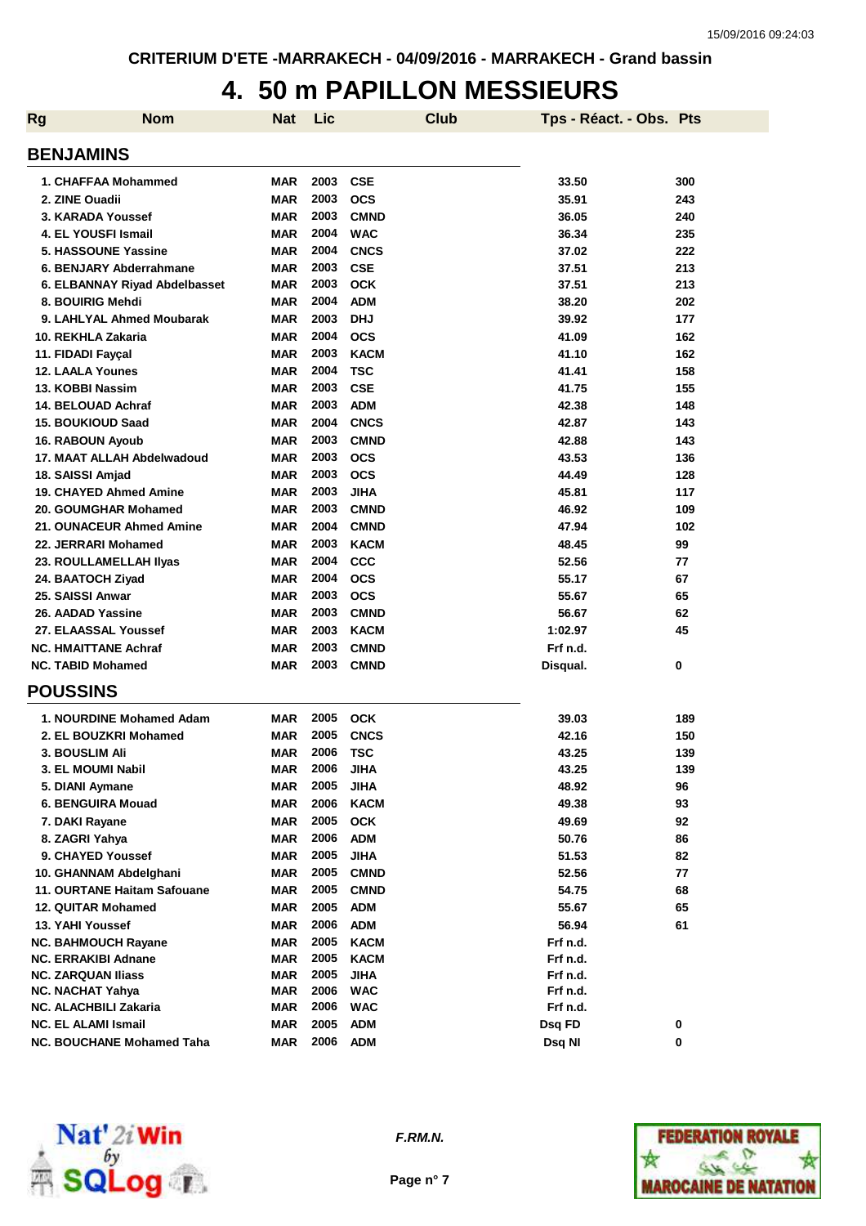## **4. 50 m PAPILLON MESSIEURS**

| <b>Rg</b> | <b>Nom</b>                           | <b>Nat</b>        | Lic          |                            | <b>Club</b> | Tps - Réact. - Obs. Pts |           |
|-----------|--------------------------------------|-------------------|--------------|----------------------------|-------------|-------------------------|-----------|
|           | <b>BENJAMINS</b>                     |                   |              |                            |             |                         |           |
|           | 1. CHAFFAA Mohammed                  | <b>MAR</b>        | 2003         | <b>CSE</b>                 |             | 33.50                   | 300       |
|           | 2. ZINE Ouadii                       | <b>MAR</b>        | 2003         | <b>OCS</b>                 |             | 35.91                   | 243       |
|           | 3. KARADA Youssef                    | <b>MAR</b>        | 2003         | <b>CMND</b>                |             | 36.05                   | 240       |
|           | 4. EL YOUSFI Ismail                  | <b>MAR</b>        | 2004         | <b>WAC</b>                 |             | 36.34                   | 235       |
|           | 5. HASSOUNE Yassine                  | <b>MAR</b>        | 2004         | <b>CNCS</b>                |             | 37.02                   | 222       |
|           | 6. BENJARY Abderrahmane              | <b>MAR</b>        | 2003         | <b>CSE</b>                 |             | 37.51                   | 213       |
|           | 6. ELBANNAY Riyad Abdelbasset        | <b>MAR</b>        | 2003         | <b>OCK</b>                 |             | 37.51                   | 213       |
|           | 8. BOUIRIG Mehdi                     | <b>MAR</b>        | 2004         | <b>ADM</b>                 |             | 38.20                   | 202       |
|           | 9. LAHLYAL Ahmed Moubarak            | <b>MAR</b>        | 2003         | <b>DHJ</b>                 |             | 39.92                   | 177       |
|           | 10. REKHLA Zakaria                   | <b>MAR</b>        | 2004         | <b>OCS</b>                 |             | 41.09                   | 162       |
|           | 11. FIDADI Fayçal                    | <b>MAR</b>        | 2003         | <b>KACM</b>                |             | 41.10                   | 162       |
|           | <b>12. LAALA Younes</b>              | <b>MAR</b>        | 2004         | <b>TSC</b>                 |             | 41.41                   | 158       |
|           | 13. KOBBI Nassim                     | <b>MAR</b>        | 2003         | <b>CSE</b>                 |             | 41.75                   | 155       |
|           | 14. BELOUAD Achraf                   | <b>MAR</b>        | 2003         | <b>ADM</b>                 |             | 42.38                   | 148       |
|           | <b>15. BOUKIOUD Saad</b>             | <b>MAR</b>        | 2004         | <b>CNCS</b>                |             | 42.87                   | 143       |
|           | 16. RABOUN Ayoub                     | <b>MAR</b>        | 2003         | <b>CMND</b>                |             | 42.88                   | 143       |
|           | 17. MAAT ALLAH Abdelwadoud           | <b>MAR</b>        | 2003         | <b>OCS</b>                 |             | 43.53                   | 136       |
|           | 18. SAISSI Amjad                     | <b>MAR</b>        | 2003         | <b>OCS</b>                 |             | 44.49                   | 128       |
|           | <b>19. CHAYED Ahmed Amine</b>        | <b>MAR</b>        | 2003         | <b>JIHA</b>                |             | 45.81                   | 117       |
|           | 20. GOUMGHAR Mohamed                 | <b>MAR</b>        | 2003         | <b>CMND</b>                |             | 46.92                   | 109       |
|           | 21. OUNACEUR Ahmed Amine             | <b>MAR</b>        | 2004         | <b>CMND</b>                |             | 47.94                   | 102       |
|           | 22. JERRARI Mohamed                  | <b>MAR</b>        | 2003         | <b>KACM</b>                |             | 48.45                   | 99        |
|           | 23. ROULLAMELLAH IIyas               | <b>MAR</b>        | 2004         | CCC                        |             | 52.56                   | 77        |
|           | 24. BAATOCH Ziyad                    | <b>MAR</b>        | 2004         | <b>OCS</b>                 |             | 55.17                   | 67        |
|           | 25. SAISSI Anwar                     | <b>MAR</b>        | 2003         | <b>OCS</b>                 |             | 55.67                   | 65        |
|           | 26. AADAD Yassine                    | <b>MAR</b>        | 2003         | <b>CMND</b>                |             | 56.67                   | 62        |
|           | 27. ELAASSAL Youssef                 | <b>MAR</b>        | 2003         | <b>KACM</b>                |             | 1:02.97                 | 45        |
|           | <b>NC. HMAITTANE Achraf</b>          | <b>MAR</b>        | 2003         | <b>CMND</b>                |             | Frf n.d.                |           |
|           | <b>NC. TABID Mohamed</b>             | <b>MAR</b>        | 2003         | <b>CMND</b>                |             | Disqual.                | 0         |
|           | <b>POUSSINS</b>                      |                   |              |                            |             |                         |           |
|           | 1. NOURDINE Mohamed Adam             | MAR               | 2005         | <b>OCK</b>                 |             | 39.03                   | 189       |
|           | 2. EL BOUZKRI Mohamed                | <b>MAR</b>        | 2005         | <b>CNCS</b>                |             | 42.16                   | 150       |
|           | 3. BOUSLIM Ali                       | <b>MAR</b>        | 2006<br>2006 | TSC                        |             | 43.25                   | 139       |
|           | 3. EL MOUMI Nabil<br>5. DIANI Aymane | MAR<br><b>MAR</b> | 2005         | <b>JIHA</b><br><b>JIHA</b> |             | 43.25<br>48.92          | 139<br>96 |
|           | 6. BENGUIRA Mouad                    | <b>MAR</b>        | 2006         | <b>KACM</b>                |             | 49.38                   | 93        |
|           | 7. DAKI Rayane                       | <b>MAR</b>        | 2005         | <b>OCK</b>                 |             | 49.69                   | 92        |
|           | 8. ZAGRI Yahya                       | <b>MAR</b>        | 2006         | <b>ADM</b>                 |             | 50.76                   | 86        |
|           | 9. CHAYED Youssef                    | <b>MAR</b>        | 2005         | <b>JIHA</b>                |             | 51.53                   | 82        |
|           | 10. GHANNAM Abdelghani               | <b>MAR</b>        | 2005         | <b>CMND</b>                |             | 52.56                   | 77        |
|           | <b>11. OURTANE Haitam Safouane</b>   | <b>MAR</b>        | 2005         | <b>CMND</b>                |             | 54.75                   | 68        |
|           | <b>12. QUITAR Mohamed</b>            | <b>MAR</b>        | 2005         | <b>ADM</b>                 |             | 55.67                   | 65        |
|           | 13. YAHI Youssef                     | <b>MAR</b>        | 2006         | <b>ADM</b>                 |             | 56.94                   | 61        |
|           | <b>NC. BAHMOUCH Rayane</b>           | <b>MAR</b>        | 2005         | <b>KACM</b>                |             | Frf n.d.                |           |
|           | <b>NC. ERRAKIBI Adnane</b>           | MAR               | 2005         | <b>KACM</b>                |             | Frf n.d.                |           |
|           | <b>NC. ZARQUAN Iliass</b>            | <b>MAR</b>        | 2005         | <b>JIHA</b>                |             | Frf n.d.                |           |
|           | <b>NC. NACHAT Yahya</b>              | MAR               | 2006         | <b>WAC</b>                 |             | Frf n.d.                |           |
|           | NC. ALACHBILI Zakaria                | MAR               | 2006         | <b>WAC</b>                 |             | Frf n.d.                |           |
|           | <b>NC. EL ALAMI Ismail</b>           | <b>MAR</b>        | 2005         | <b>ADM</b>                 |             | Dsq FD                  | 0         |
|           | <b>NC. BOUCHANE Mohamed Taha</b>     | <b>MAR</b>        | 2006         | <b>ADM</b>                 |             | Dsq NI                  | 0         |



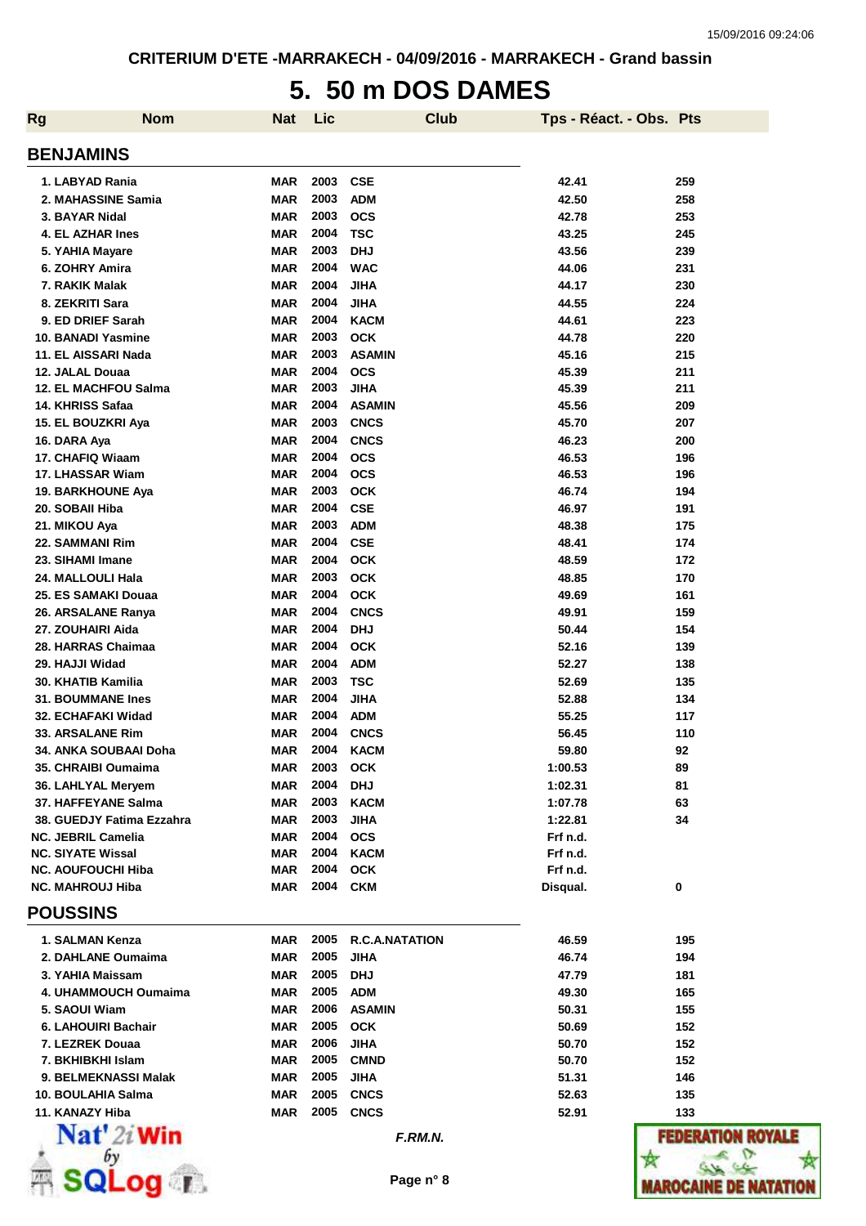# **5. 50 m DOS DAMES**

| <b>Nom</b><br><b>Rg</b>                         | <b>Nat</b>               | Lic          | <b>Club</b>                  | Tps - Réact. - Obs. Pts |              |
|-------------------------------------------------|--------------------------|--------------|------------------------------|-------------------------|--------------|
| <b>BENJAMINS</b>                                |                          |              |                              |                         |              |
| 1. LABYAD Rania                                 | <b>MAR</b>               | 2003         | <b>CSE</b>                   | 42.41                   | 259          |
| 2. MAHASSINE Samia                              | <b>MAR</b>               | 2003         | <b>ADM</b>                   | 42.50                   | 258          |
| 3. BAYAR Nidal                                  | <b>MAR</b>               | 2003         | <b>OCS</b>                   | 42.78                   | 253          |
| 4. EL AZHAR Ines                                | <b>MAR</b>               | 2004         | <b>TSC</b>                   | 43.25                   | 245          |
| 5. YAHIA Mayare                                 | <b>MAR</b>               | 2003         | <b>DHJ</b>                   | 43.56                   | 239          |
| 6. ZOHRY Amira                                  | <b>MAR</b>               | 2004         | <b>WAC</b>                   | 44.06                   | 231          |
| 7. RAKIK Malak                                  | <b>MAR</b>               | 2004         | <b>JIHA</b>                  | 44.17                   | 230          |
| 8. ZEKRITI Sara                                 | <b>MAR</b>               | 2004         | <b>JIHA</b>                  | 44.55                   | 224          |
| 9. ED DRIEF Sarah                               | <b>MAR</b>               | 2004         | <b>KACM</b>                  | 44.61                   | 223          |
| <b>10. BANADI Yasmine</b>                       | <b>MAR</b>               | 2003         | <b>OCK</b>                   | 44.78                   | 220          |
| 11. EL AISSARI Nada                             | <b>MAR</b>               | 2003         | <b>ASAMIN</b>                | 45.16                   | 215          |
| 12. JALAL Douaa                                 | <b>MAR</b>               | 2004<br>2003 | <b>OCS</b>                   | 45.39                   | 211<br>211   |
| <b>12. EL MACHFOU Salma</b><br>14. KHRISS Safaa | <b>MAR</b><br><b>MAR</b> | 2004         | <b>JIHA</b><br><b>ASAMIN</b> | 45.39<br>45.56          | 209          |
| 15. EL BOUZKRI Aya                              | <b>MAR</b>               | 2003         | <b>CNCS</b>                  | 45.70                   | 207          |
| 16. DARA Aya                                    | <b>MAR</b>               | 2004         | <b>CNCS</b>                  | 46.23                   | 200          |
| 17. CHAFIQ Wiaam                                | <b>MAR</b>               | 2004         | <b>OCS</b>                   | 46.53                   | 196          |
| 17. LHASSAR Wiam                                | <b>MAR</b>               | 2004         | <b>OCS</b>                   | 46.53                   | 196          |
| <b>19. BARKHOUNE Aya</b>                        | <b>MAR</b>               | 2003         | <b>OCK</b>                   | 46.74                   | 194          |
| 20. SOBAII Hiba                                 | <b>MAR</b>               | 2004         | <b>CSE</b>                   | 46.97                   | 191          |
| 21. MIKOU Aya                                   | <b>MAR</b>               | 2003         | <b>ADM</b>                   | 48.38                   | 175          |
| 22. SAMMANI Rim                                 | <b>MAR</b>               | 2004         | <b>CSE</b>                   | 48.41                   | 174          |
| 23. SIHAMI Imane                                | <b>MAR</b>               | 2004         | <b>OCK</b>                   | 48.59                   | 172          |
| 24. MALLOULI Hala                               | MAR                      | 2003         | <b>OCK</b>                   | 48.85                   | 170          |
| 25. ES SAMAKI Douaa                             | <b>MAR</b>               | 2004         | <b>OCK</b>                   | 49.69                   | 161          |
| 26. ARSALANE Ranya                              | <b>MAR</b>               | 2004         | <b>CNCS</b>                  | 49.91                   | 159          |
| 27. ZOUHAIRI Aida                               | <b>MAR</b>               | 2004         | <b>DHJ</b>                   | 50.44                   | 154          |
| 28. HARRAS Chaimaa                              | <b>MAR</b>               | 2004         | <b>OCK</b>                   | 52.16                   | 139          |
| 29. HAJJI Widad                                 | <b>MAR</b>               | 2004         | <b>ADM</b>                   | 52.27                   | 138          |
| 30. KHATIB Kamilia                              | <b>MAR</b>               | 2003         | <b>TSC</b>                   | 52.69                   | 135          |
| <b>31. BOUMMANE Ines</b>                        | <b>MAR</b>               | 2004         | <b>JIHA</b>                  | 52.88                   | 134          |
| 32. ECHAFAKI Widad                              | <b>MAR</b>               | 2004         | <b>ADM</b>                   | 55.25                   | 117          |
| 33. ARSALANE Rim                                | <b>MAR</b>               | 2004         | <b>CNCS</b>                  | 56.45                   | 110          |
| <b>34. ANKA SOUBAAI Doha</b>                    | <b>MAR</b>               | 2004         | <b>KACM</b>                  | 59.80                   | 92           |
| 35. CHRAIBI Oumaima                             | <b>MAR</b>               | 2003         | <b>OCK</b>                   | 1:00.53                 | 89           |
| 36. LAHLYAL Meryem                              | <b>MAR</b>               | 2004         | <b>DHJ</b>                   | 1:02.31                 | 81           |
| 37. HAFFEYANE Salma                             | <b>MAR</b>               | 2003         | <b>KACM</b>                  | 1:07.78                 | 63           |
| 38. GUEDJY Fatima Ezzahra                       | <b>MAR</b>               | 2003         | <b>JIHA</b>                  | 1:22.81                 | 34           |
| NC. JEBRIL Camelia                              | <b>MAR</b>               | 2004         | <b>OCS</b>                   | Frf n.d.                |              |
| <b>NC. SIYATE Wissal</b>                        | <b>MAR</b>               | 2004         | <b>KACM</b>                  | Frf n.d.                |              |
| NC. AOUFOUCHI Hiba                              | <b>MAR</b>               | 2004         | <b>OCK</b>                   | Frf n.d.                |              |
| <b>NC. MAHROUJ Hiba</b><br><b>POUSSINS</b>      | <b>MAR</b>               | 2004         | <b>CKM</b>                   | Disqual.                | 0            |
|                                                 |                          |              |                              |                         |              |
| 1. SALMAN Kenza                                 | <b>MAR</b>               | 2005         | <b>R.C.A.NATATION</b>        | 46.59                   | 195          |
| 2. DAHLANE Oumaima                              | <b>MAR</b>               | 2005         | <b>JIHA</b>                  | 46.74                   | 194          |
| 3. YAHIA Maissam                                | <b>MAR</b>               | 2005         | <b>DHJ</b>                   | 47.79                   | 181          |
| 4. UHAMMOUCH Oumaima                            | <b>MAR</b>               | 2005         | <b>ADM</b>                   | 49.30                   | 165          |
| 5. SAOUI Wiam                                   | <b>MAR</b>               | 2006         | <b>ASAMIN</b>                | 50.31                   | 155          |
| 6. LAHOUIRI Bachair                             | <b>MAR</b>               | 2005         | <b>OCK</b>                   | 50.69                   | 152          |
| 7. LEZREK Douaa                                 | <b>MAR</b>               | 2006         | <b>JIHA</b>                  | 50.70                   | 152          |
| 7. BKHIBKHI Islam                               | <b>MAR</b>               | 2005         | <b>CMND</b>                  | 50.70                   | 152          |
| 9. BELMEKNASSI Malak                            | <b>MAR</b>               | 2005<br>2005 | <b>JIHA</b><br><b>CNCS</b>   | 51.31                   | 146          |
| 10. BOULAHIA Salma<br>11. KANAZY Hiba           | <b>MAR</b><br>MAR        | 2005         | <b>CNCS</b>                  | 52.63<br>52.91          | 135<br>133   |
| $\mathbf{Nat}'$ 2i Win                          |                          |              |                              |                         |              |
|                                                 |                          |              | F.RM.N.                      |                         | [14] E       |
|                                                 |                          |              |                              |                         |              |
| $\blacksquare$                                  |                          |              | Page n° 8                    |                         | MAROCAINE DE |

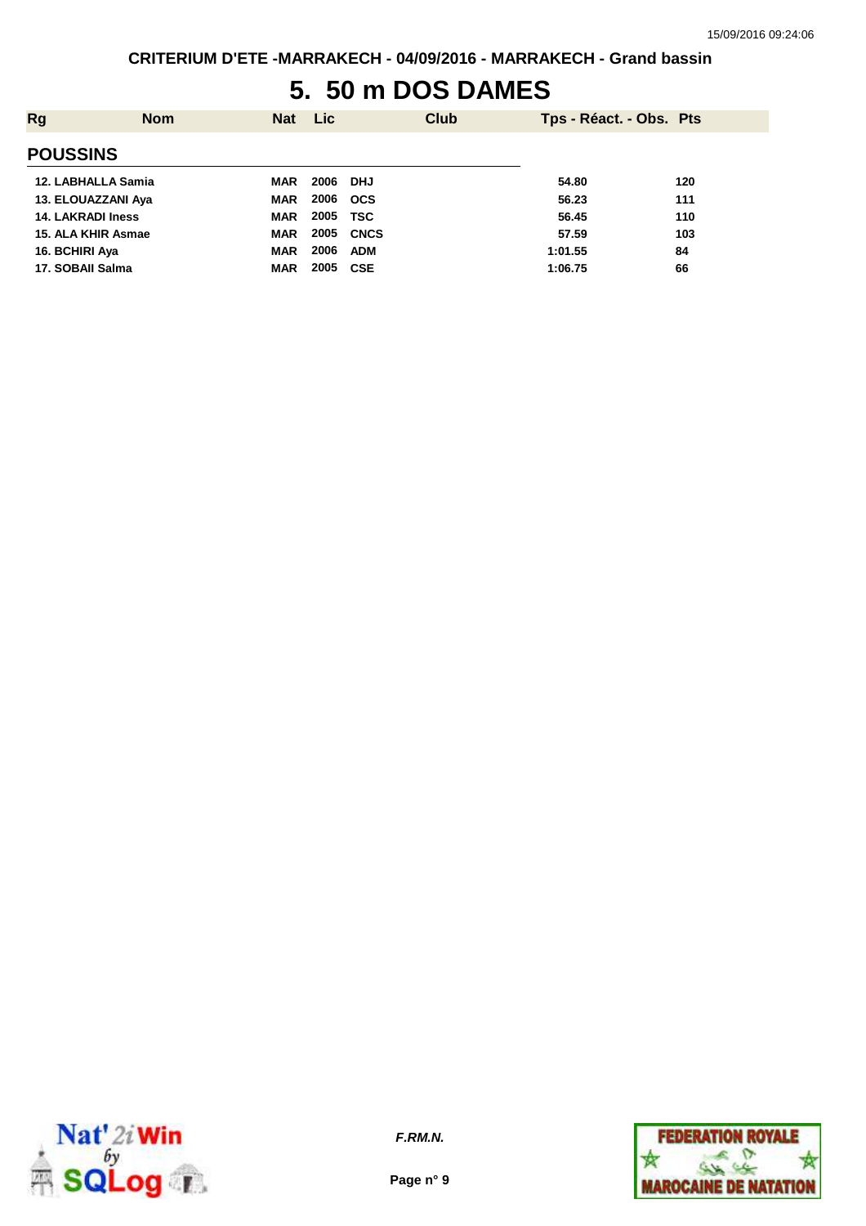## **5. 50 m DOS DAMES**

| Rg                       | <b>Nom</b> | <b>Nat</b> | Lic      | Club       |         | Tps - Réact. - Obs. Pts |
|--------------------------|------------|------------|----------|------------|---------|-------------------------|
| <b>POUSSINS</b>          |            |            |          |            |         |                         |
| 12. LABHALLA Samia       |            | MAR        | 2006 DHJ |            | 54.80   | 120                     |
| 13. ELOUAZZANI Aya       |            | <b>MAR</b> | 2006     | <b>OCS</b> | 56.23   | 111                     |
| <b>14. LAKRADI Iness</b> |            | <b>MAR</b> | 2005     | TSC        | 56.45   | 110                     |
| 15. ALA KHIR Asmae       |            | <b>MAR</b> | 2005     | CNCS       | 57.59   | 103                     |
| 16. BCHIRI Aya           |            | <b>MAR</b> | 2006     | ADM        | 1:01.55 | 84                      |
| 17. SOBAII Salma         |            | <b>MAR</b> | 2005     | <b>CSE</b> | 1:06.75 | 66                      |



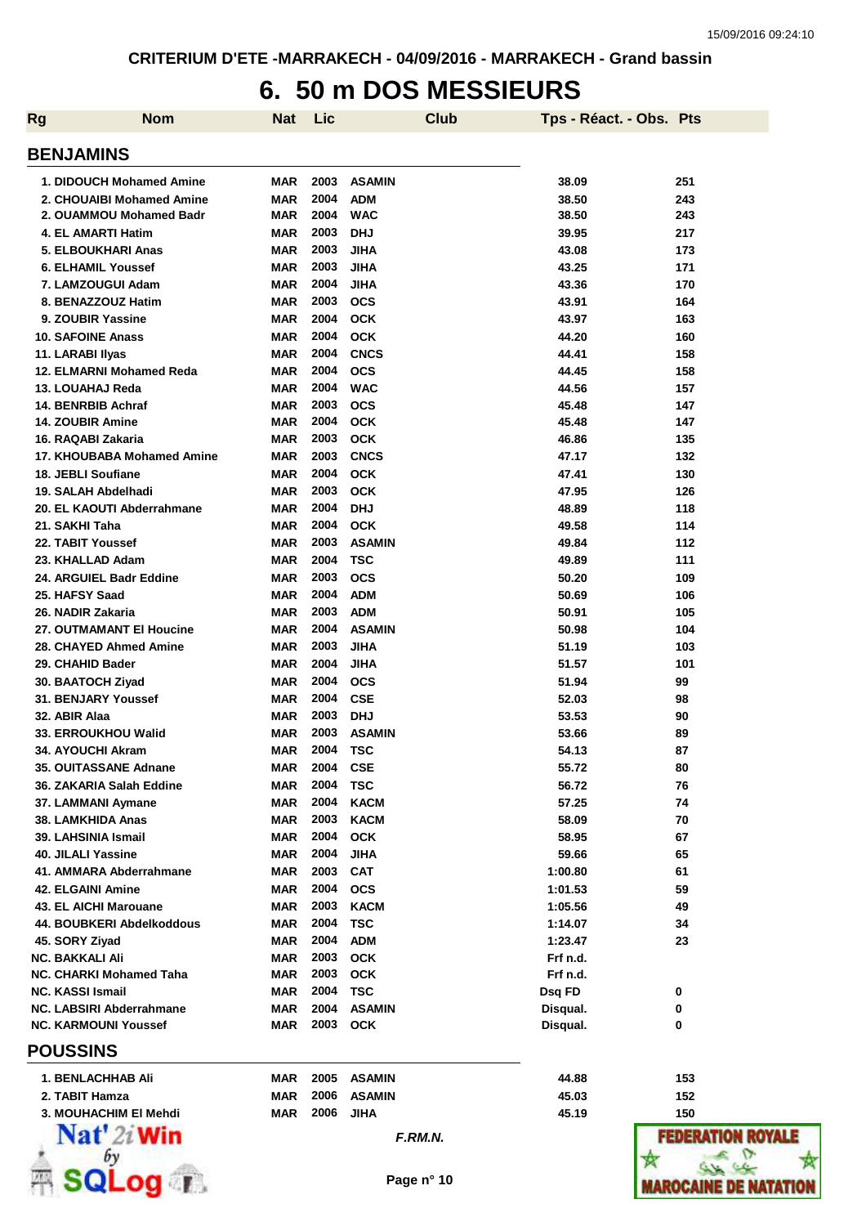## **6. 50 m DOS MESSIEURS**

| <b>Rg</b> | <b>Nom</b>                     | Nat        | Lic  |               | <b>Club</b> | Tps - Réact. - Obs. Pts |                  |
|-----------|--------------------------------|------------|------|---------------|-------------|-------------------------|------------------|
|           | <b>BENJAMINS</b>               |            |      |               |             |                         |                  |
|           | 1. DIDOUCH Mohamed Amine       | <b>MAR</b> | 2003 | <b>ASAMIN</b> |             | 38.09                   | 251              |
|           | 2. CHOUAIBI Mohamed Amine      | <b>MAR</b> | 2004 | <b>ADM</b>    |             | 38.50                   | 243              |
|           | 2. OUAMMOU Mohamed Badr        | <b>MAR</b> | 2004 | <b>WAC</b>    |             | 38.50                   | 243              |
|           | 4. EL AMARTI Hatim             | <b>MAR</b> | 2003 | <b>DHJ</b>    |             | 39.95                   | 217              |
|           | 5. ELBOUKHARI Anas             | <b>MAR</b> | 2003 | <b>JIHA</b>   |             | 43.08                   | 173              |
|           | <b>6. ELHAMIL Youssef</b>      | <b>MAR</b> | 2003 | <b>JIHA</b>   |             | 43.25                   | 171              |
|           | 7. LAMZOUGUI Adam              | <b>MAR</b> | 2004 | <b>JIHA</b>   |             | 43.36                   | 170              |
|           | 8. BENAZZOUZ Hatim             | <b>MAR</b> | 2003 | <b>OCS</b>    |             | 43.91                   | 164              |
|           | 9. ZOUBIR Yassine              | <b>MAR</b> | 2004 | <b>OCK</b>    |             | 43.97                   | 163              |
|           | <b>10. SAFOINE Anass</b>       | <b>MAR</b> | 2004 | <b>OCK</b>    |             | 44.20                   | 160              |
|           | 11. LARABI Ilyas               | <b>MAR</b> | 2004 | <b>CNCS</b>   |             | 44.41                   | 158              |
|           | 12. ELMARNI Mohamed Reda       | <b>MAR</b> | 2004 | <b>OCS</b>    |             | 44.45                   | 158              |
|           | 13. LOUAHAJ Reda               | <b>MAR</b> | 2004 | <b>WAC</b>    |             | 44.56                   | 157              |
|           | 14. BENRBIB Achraf             | <b>MAR</b> | 2003 | <b>OCS</b>    |             | 45.48                   | 147              |
|           | <b>14. ZOUBIR Amine</b>        | <b>MAR</b> | 2004 | <b>OCK</b>    |             | 45.48                   | 147              |
|           | 16. RAQABI Zakaria             | <b>MAR</b> | 2003 | <b>OCK</b>    |             | 46.86                   | 135              |
|           | 17. KHOUBABA Mohamed Amine     | <b>MAR</b> | 2003 | <b>CNCS</b>   |             | 47.17                   | 132              |
|           | 18. JEBLI Soufiane             | <b>MAR</b> | 2004 | <b>OCK</b>    |             | 47.41                   | 130              |
|           | 19. SALAH Abdelhadi            | <b>MAR</b> | 2003 | <b>OCK</b>    |             | 47.95                   | 126              |
|           | 20. EL KAOUTI Abderrahmane     | <b>MAR</b> | 2004 | <b>DHJ</b>    |             | 48.89                   | 118              |
|           | 21. SAKHI Taha                 | <b>MAR</b> | 2004 | <b>OCK</b>    |             | 49.58                   | 114              |
|           | 22. TABIT Youssef              | <b>MAR</b> | 2003 | <b>ASAMIN</b> |             | 49.84                   | 112              |
|           | 23. KHALLAD Adam               | <b>MAR</b> | 2004 | <b>TSC</b>    |             | 49.89                   | 111              |
|           | 24. ARGUIEL Badr Eddine        | <b>MAR</b> | 2003 | <b>OCS</b>    |             | 50.20                   | 109              |
|           | 25. HAFSY Saad                 | <b>MAR</b> | 2004 | <b>ADM</b>    |             | 50.69                   | 106              |
|           | 26. NADIR Zakaria              | <b>MAR</b> | 2003 | <b>ADM</b>    |             | 50.91                   | 105              |
|           | 27. OUTMAMANT EI Houcine       | <b>MAR</b> | 2004 | <b>ASAMIN</b> |             | 50.98                   | 104              |
|           | 28. CHAYED Ahmed Amine         | <b>MAR</b> | 2003 | JIHA          |             | 51.19                   | 103              |
|           |                                |            | 2004 |               |             |                         |                  |
|           | 29. CHAHID Bader               | <b>MAR</b> |      | JIHA          |             | 51.57                   | 101              |
|           | 30. BAATOCH Ziyad              | <b>MAR</b> | 2004 | <b>OCS</b>    |             | 51.94                   | 99               |
|           | 31. BENJARY Youssef            | <b>MAR</b> | 2004 | <b>CSE</b>    |             | 52.03                   | 98               |
|           | 32. ABIR Alaa                  | <b>MAR</b> | 2003 | <b>DHJ</b>    |             | 53.53                   | 90               |
|           | <b>33. ERROUKHOU Walid</b>     | MAR        | 2003 | <b>ASAMIN</b> |             | 53.66                   | 89               |
|           | 34. AYOUCHI Akram              | <b>MAR</b> | 2004 | <b>TSC</b>    |             | 54.13                   | 87               |
|           | 35. OUITASSANE Adnane          | MAR        | 2004 | <b>CSE</b>    |             | 55.72                   | 80               |
|           | 36. ZAKARIA Salah Eddine       | <b>MAR</b> | 2004 | <b>TSC</b>    |             | 56.72                   | 76               |
|           | 37. LAMMANI Aymane             | <b>MAR</b> | 2004 | <b>KACM</b>   |             | 57.25                   | 74               |
|           | 38. LAMKHIDA Anas              | <b>MAR</b> | 2003 | <b>KACM</b>   |             | 58.09                   | 70               |
|           | 39. LAHSINIA Ismail            | <b>MAR</b> | 2004 | <b>OCK</b>    |             | 58.95                   | 67               |
|           | 40. JILALI Yassine             | <b>MAR</b> | 2004 | <b>JIHA</b>   |             | 59.66                   | 65               |
|           | 41. AMMARA Abderrahmane        | <b>MAR</b> | 2003 | <b>CAT</b>    |             | 1:00.80                 | 61               |
|           | <b>42. ELGAINI Amine</b>       | <b>MAR</b> | 2004 | <b>OCS</b>    |             | 1:01.53                 | 59               |
|           | 43. EL AICHI Marouane          | <b>MAR</b> | 2003 | <b>KACM</b>   |             | 1:05.56                 | 49               |
|           | 44. BOUBKERI Abdelkoddous      | <b>MAR</b> | 2004 | <b>TSC</b>    |             | 1:14.07                 | 34               |
|           | 45. SORY Ziyad                 | <b>MAR</b> | 2004 | <b>ADM</b>    |             | 1:23.47                 | 23               |
|           | NC. BAKKALI Ali                | <b>MAR</b> | 2003 | <b>OCK</b>    |             | Frf n.d.                |                  |
|           | <b>NC. CHARKI Mohamed Taha</b> | MAR        | 2003 | <b>OCK</b>    |             | Frf n.d.                |                  |
|           | <b>NC. KASSI Ismail</b>        | <b>MAR</b> | 2004 | <b>TSC</b>    |             | Dsq FD                  | 0                |
|           | NC. LABSIRI Abderrahmane       | <b>MAR</b> | 2004 | <b>ASAMIN</b> |             | Disqual.                | 0                |
|           | <b>NC. KARMOUNI Youssef</b>    | <b>MAR</b> | 2003 | <b>OCK</b>    |             | Disqual.                | 0                |
|           | <b>POUSSINS</b>                |            |      |               |             |                         |                  |
|           | <b>1. BENLACHHAB Ali</b>       | <b>MAR</b> | 2005 | <b>ASAMIN</b> |             | 44.88                   | 153              |
|           | 2. TABIT Hamza                 | <b>MAR</b> | 2006 | <b>ASAMIN</b> |             | 45.03                   | 152              |
|           | 3. MOUHACHIM EI Mehdi          | <b>MAR</b> | 2006 | <b>JIHA</b>   |             | 45.19                   | 150              |
|           | $\mathbf{Nat}'$ 2i Win         |            |      | F.RM.N.       |             |                         | <b>FEDERATIO</b> |
|           |                                |            |      |               |             |                         |                  |
|           | Log r                          |            |      | Page n° 10    |             |                         | MAROCAINE        |

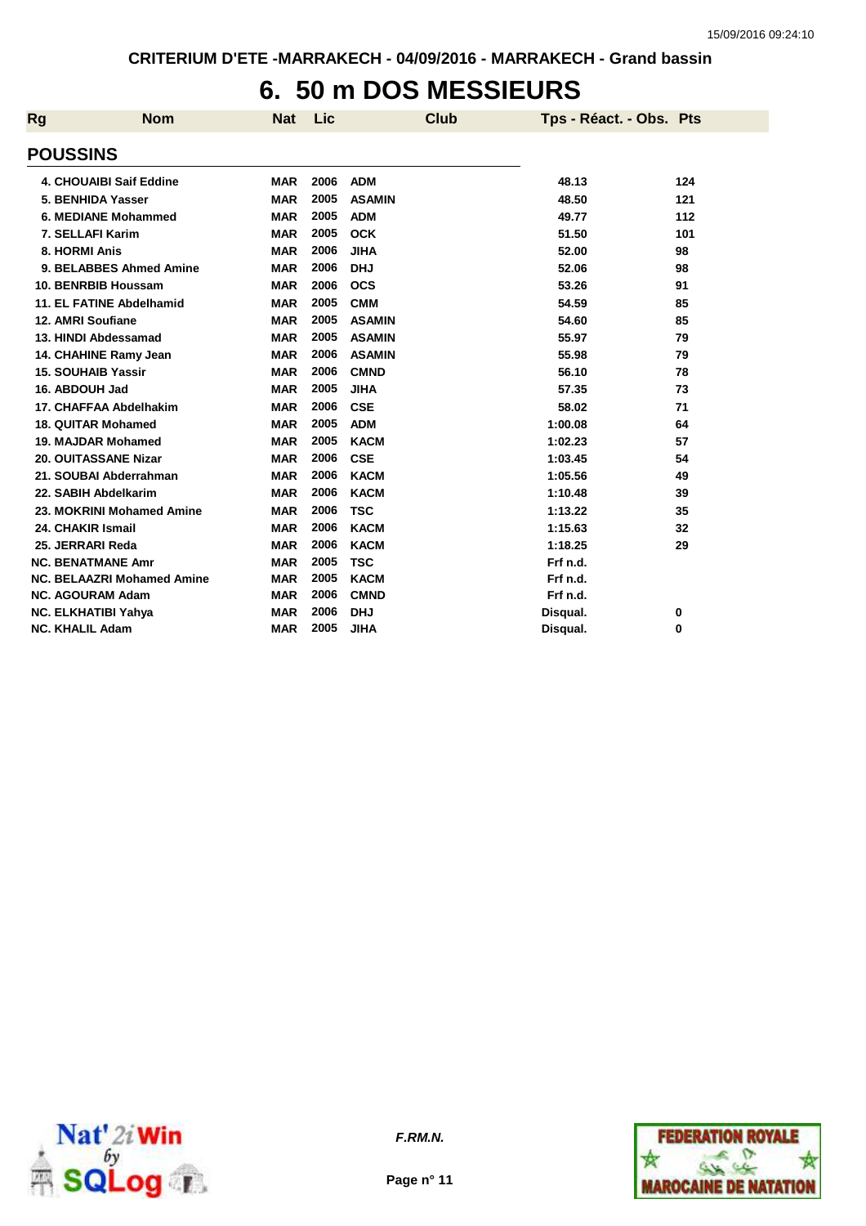## **6. 50 m DOS MESSIEURS**

| Rg                     | <b>Nom</b>                        | <b>Nat</b> | <b>Lic</b> | <b>Club</b>   | Tps - Réact. - Obs. Pts |     |
|------------------------|-----------------------------------|------------|------------|---------------|-------------------------|-----|
| <b>POUSSINS</b>        |                                   |            |            |               |                         |     |
|                        | <b>4. CHOUAIBI Saif Eddine</b>    | <b>MAR</b> | 2006       | <b>ADM</b>    | 48.13                   | 124 |
|                        | 5. BENHIDA Yasser                 | <b>MAR</b> | 2005       | <b>ASAMIN</b> | 48.50                   | 121 |
|                        | 6. MEDIANE Mohammed               | <b>MAR</b> | 2005       | <b>ADM</b>    | 49.77                   | 112 |
|                        | 7. SELLAFI Karim                  | <b>MAR</b> | 2005       | <b>OCK</b>    | 51.50                   | 101 |
| 8. HORMI Anis          |                                   | <b>MAR</b> | 2006       | <b>JIHA</b>   | 52.00                   | 98  |
|                        | 9. BELABBES Ahmed Amine           | <b>MAR</b> | 2006       | <b>DHJ</b>    | 52.06                   | 98  |
|                        | 10. BENRBIB Houssam               | <b>MAR</b> | 2006       | <b>OCS</b>    | 53.26                   | 91  |
|                        | 11. EL FATINE Abdelhamid          | <b>MAR</b> | 2005       | <b>CMM</b>    | 54.59                   | 85  |
|                        | 12. AMRI Soufiane                 | <b>MAR</b> | 2005       | <b>ASAMIN</b> | 54.60                   | 85  |
|                        | 13. HINDI Abdessamad              | <b>MAR</b> | 2005       | <b>ASAMIN</b> | 55.97                   | 79  |
|                        | 14. CHAHINE Ramy Jean             | <b>MAR</b> | 2006       | <b>ASAMIN</b> | 55.98                   | 79  |
|                        | <b>15. SOUHAIB Yassir</b>         | <b>MAR</b> | 2006       | <b>CMND</b>   | 56.10                   | 78  |
| 16. ABDOUH Jad         |                                   | <b>MAR</b> | 2005       | <b>JIHA</b>   | 57.35                   | 73  |
|                        | 17. CHAFFAA Abdelhakim            | <b>MAR</b> | 2006       | <b>CSE</b>    | 58.02                   | 71  |
|                        | <b>18. QUITAR Mohamed</b>         | <b>MAR</b> | 2005       | <b>ADM</b>    | 1:00.08                 | 64  |
|                        | 19. MAJDAR Mohamed                | <b>MAR</b> | 2005       | <b>KACM</b>   | 1:02.23                 | 57  |
|                        | <b>20. OUITASSANE Nizar</b>       | <b>MAR</b> | 2006       | <b>CSE</b>    | 1:03.45                 | 54  |
|                        | 21. SOUBAI Abderrahman            | <b>MAR</b> | 2006       | <b>KACM</b>   | 1:05.56                 | 49  |
|                        | 22. SABIH Abdelkarim              | <b>MAR</b> | 2006       | <b>KACM</b>   | 1:10.48                 | 39  |
|                        | 23. MOKRINI Mohamed Amine         | <b>MAR</b> | 2006       | <b>TSC</b>    | 1:13.22                 | 35  |
|                        | 24. CHAKIR Ismail                 | <b>MAR</b> | 2006       | <b>KACM</b>   | 1:15.63                 | 32  |
|                        | 25. JERRARI Reda                  | <b>MAR</b> | 2006       | <b>KACM</b>   | 1:18.25                 | 29  |
|                        | <b>NC. BENATMANE Amr</b>          | <b>MAR</b> | 2005       | <b>TSC</b>    | Frf n.d.                |     |
|                        | <b>NC. BELAAZRI Mohamed Amine</b> | <b>MAR</b> | 2005       | <b>KACM</b>   | Frf n.d.                |     |
|                        | <b>NC. AGOURAM Adam</b>           | <b>MAR</b> | 2006       | <b>CMND</b>   | Frf n.d.                |     |
|                        | NC. ELKHATIBI Yahya               | <b>MAR</b> | 2006       | <b>DHJ</b>    | Disqual.                | 0   |
| <b>NC. KHALIL Adam</b> |                                   | <b>MAR</b> | 2005       | <b>JIHA</b>   | Disqual.                | 0   |



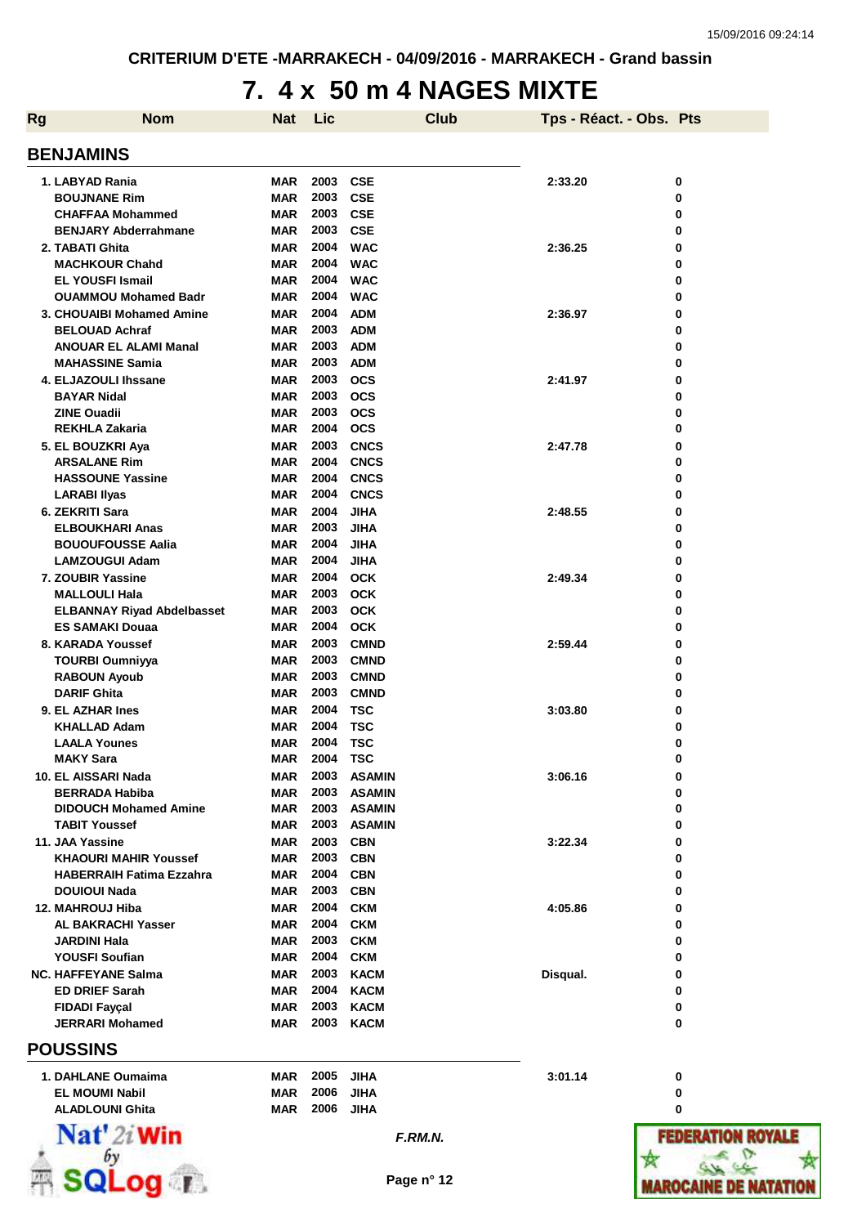## **7. 4 x 50 m 4 NAGES MIXTE**

| <b>Rg</b>            | <b>Nom</b>                        | Nat        | Lic      | <b>Club</b>   | Tps - Réact. - Obs. Pts |                          |
|----------------------|-----------------------------------|------------|----------|---------------|-------------------------|--------------------------|
| <b>BENJAMINS</b>     |                                   |            |          |               |                         |                          |
| 1. LABYAD Rania      |                                   | <b>MAR</b> | 2003     | <b>CSE</b>    | 2:33.20                 | 0                        |
|                      | <b>BOUJNANE Rim</b>               | <b>MAR</b> | 2003     | <b>CSE</b>    |                         | 0                        |
|                      | <b>CHAFFAA Mohammed</b>           | <b>MAR</b> | 2003     | <b>CSE</b>    |                         | 0                        |
|                      | <b>BENJARY Abderrahmane</b>       | MAR        | 2003     | <b>CSE</b>    |                         | 0                        |
| 2. TABATI Ghita      |                                   | <b>MAR</b> | 2004     | <b>WAC</b>    | 2:36.25                 | 0                        |
|                      | <b>MACHKOUR Chahd</b>             | <b>MAR</b> | 2004     | <b>WAC</b>    |                         | 0                        |
|                      | <b>EL YOUSFI Ismail</b>           | <b>MAR</b> | 2004     | <b>WAC</b>    |                         | 0                        |
|                      | <b>OUAMMOU Mohamed Badr</b>       | <b>MAR</b> | 2004     | <b>WAC</b>    |                         | 0                        |
|                      | 3. CHOUAIBI Mohamed Amine         | MAR        | 2004     | <b>ADM</b>    | 2:36.97                 | 0                        |
|                      | <b>BELOUAD Achraf</b>             | <b>MAR</b> | 2003     | <b>ADM</b>    |                         | 0                        |
|                      | <b>ANOUAR EL ALAMI Manal</b>      | MAR        | 2003     | <b>ADM</b>    |                         | 0                        |
|                      | <b>MAHASSINE Samia</b>            | <b>MAR</b> | 2003     | <b>ADM</b>    |                         | 0                        |
|                      | 4. ELJAZOULI Ihssane              | <b>MAR</b> | 2003     | <b>OCS</b>    | 2:41.97                 | 0                        |
| <b>BAYAR Nidal</b>   |                                   | <b>MAR</b> | 2003     | <b>OCS</b>    |                         | 0                        |
| <b>ZINE Ouadii</b>   |                                   | <b>MAR</b> | 2003     | <b>OCS</b>    |                         | 0                        |
|                      | <b>REKHLA Zakaria</b>             | <b>MAR</b> | 2004     | <b>OCS</b>    |                         | 0                        |
| 5. EL BOUZKRI Aya    |                                   | <b>MAR</b> | 2003     | <b>CNCS</b>   | 2:47.78                 | 0                        |
|                      | <b>ARSALANE Rim</b>               | MAR        | 2004     | <b>CNCS</b>   |                         | 0                        |
|                      | <b>HASSOUNE Yassine</b>           | <b>MAR</b> | 2004     | <b>CNCS</b>   |                         | 0                        |
| <b>LARABI Ilyas</b>  |                                   | MAR        | 2004     | <b>CNCS</b>   |                         | 0                        |
| 6. ZEKRITI Sara      |                                   | <b>MAR</b> | 2004     | <b>JIHA</b>   | 2:48.55                 | 0                        |
|                      | <b>ELBOUKHARI Anas</b>            | <b>MAR</b> | 2003     | <b>JIHA</b>   |                         | 0                        |
|                      | <b>BOUOUFOUSSE Aalia</b>          | <b>MAR</b> | 2004     | <b>JIHA</b>   |                         | 0                        |
|                      | <b>LAMZOUGUI Adam</b>             | <b>MAR</b> | 2004     | <b>JIHA</b>   |                         | 0                        |
| 7. ZOUBIR Yassine    |                                   | MAR        | 2004     | <b>OCK</b>    | 2:49.34                 | 0                        |
|                      | <b>MALLOULI Hala</b>              | <b>MAR</b> | 2003     | <b>OCK</b>    |                         | 0                        |
|                      | <b>ELBANNAY Riyad Abdelbasset</b> | MAR        | 2003     | <b>OCK</b>    |                         | 0                        |
|                      | <b>ES SAMAKI Douaa</b>            | <b>MAR</b> | 2004     | <b>OCK</b>    |                         | 0                        |
|                      | 8. KARADA Youssef                 | <b>MAR</b> | 2003     | <b>CMND</b>   | 2:59.44                 | 0                        |
|                      | <b>TOURBI Oumniyya</b>            | <b>MAR</b> | 2003     | <b>CMND</b>   |                         | 0                        |
|                      | <b>RABOUN Ayoub</b>               | <b>MAR</b> | 2003     | <b>CMND</b>   |                         | 0                        |
| <b>DARIF Ghita</b>   |                                   | <b>MAR</b> | 2003     | <b>CMND</b>   |                         | 0                        |
| 9. EL AZHAR Ines     |                                   | <b>MAR</b> | 2004     | <b>TSC</b>    | 3:03.80                 | 0                        |
|                      | <b>KHALLAD Adam</b>               | MAR        | 2004     | <b>TSC</b>    |                         | 0                        |
|                      | <b>LAALA Younes</b>               | <b>MAR</b> | 2004     | <b>TSC</b>    |                         | 0                        |
| <b>MAKY Sara</b>     |                                   | <b>MAR</b> | 2004 TSC |               |                         | 0                        |
| 10. EL AISSARI Nada  |                                   | MAR        |          | 2003 ASAMIN   | 3:06.16                 | 0                        |
|                      | <b>BERRADA Habiba</b>             | <b>MAR</b> | 2003     | <b>ASAMIN</b> |                         | 0                        |
|                      | <b>DIDOUCH Mohamed Amine</b>      | <b>MAR</b> | 2003     | <b>ASAMIN</b> |                         | 0                        |
|                      | <b>TABIT Youssef</b>              | MAR        |          | 2003 ASAMIN   |                         | 0                        |
| 11. JAA Yassine      |                                   | <b>MAR</b> | 2003     | <b>CBN</b>    | 3:22.34                 | 0                        |
|                      | <b>KHAOURI MAHIR Youssef</b>      | <b>MAR</b> | 2003     | <b>CBN</b>    |                         | 0                        |
|                      | <b>HABERRAIH Fatima Ezzahra</b>   | <b>MAR</b> |          | 2004 CBN      |                         | 0                        |
| <b>DOUIOUI Nada</b>  |                                   | <b>MAR</b> |          | 2003 CBN      |                         | 0                        |
| 12. MAHROUJ Hiba     |                                   | <b>MAR</b> | 2004     | <b>CKM</b>    | 4:05.86                 | 0                        |
|                      | <b>AL BAKRACHI Yasser</b>         | <b>MAR</b> | 2004     | <b>CKM</b>    |                         | 0                        |
| <b>JARDINI Hala</b>  |                                   | <b>MAR</b> | 2003     | <b>CKM</b>    |                         | 0                        |
|                      | <b>YOUSFI Soufian</b>             | <b>MAR</b> | 2004     | <b>CKM</b>    |                         | 0                        |
|                      | <b>NC. HAFFEYANE Salma</b>        | <b>MAR</b> | 2003     | <b>KACM</b>   | Disqual.                | 0                        |
|                      | <b>ED DRIEF Sarah</b>             | MAR        | 2004     | <b>KACM</b>   |                         | 0                        |
| <b>FIDADI Fayçal</b> |                                   | <b>MAR</b> | 2003     | <b>KACM</b>   |                         | 0                        |
|                      | <b>JERRARI Mohamed</b>            | MAR        | 2003     | <b>KACM</b>   |                         | 0                        |
| <b>POUSSINS</b>      |                                   |            |          |               |                         |                          |
|                      | 1. DAHLANE Oumaima                | <b>MAR</b> | 2005     | <b>JIHA</b>   | 3:01.14                 | 0                        |
|                      | <b>EL MOUMI Nabil</b>             | <b>MAR</b> | 2006     | <b>JIHA</b>   |                         | 0                        |
|                      | <b>ALADLOUNI Ghita</b>            | <b>MAR</b> | 2006     | <b>JIHA</b>   |                         | 0                        |
|                      | $\mathbf{Nat}'$ 2i Win            |            |          | F.RM.N.       |                         | <b>FEDERATION ROYALE</b> |
|                      | by                                |            |          |               |                         |                          |
|                      |                                   |            |          | Page n° 12    |                         |                          |
|                      | SQLog r                           |            |          |               |                         | MAROCAINE DE NATATIO     |

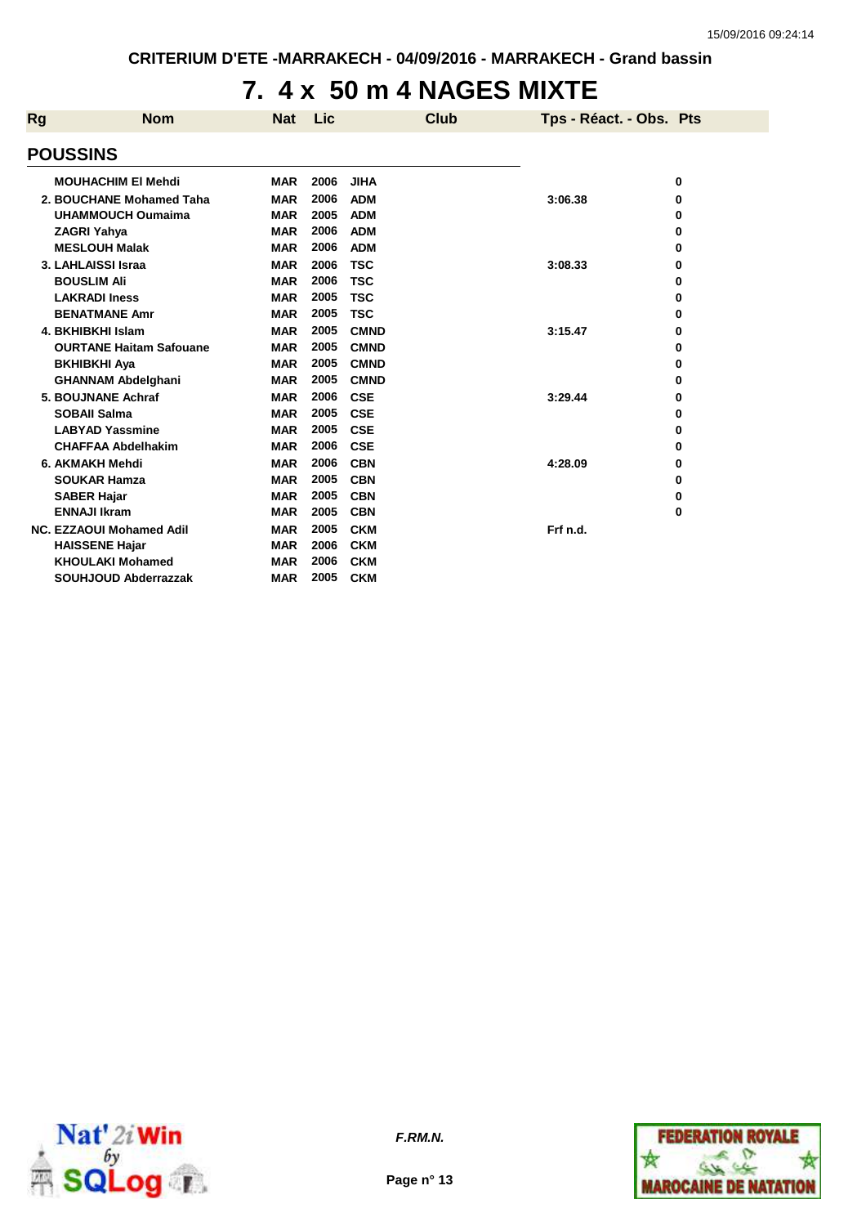#### **7. 4 x 50 m 4 NAGES MIXTE**

| Rg | <b>Nom</b>                     | <b>Nat</b> | Lic  |             | <b>Club</b> | Tps - Réact. - Obs. Pts |   |
|----|--------------------------------|------------|------|-------------|-------------|-------------------------|---|
|    | <b>POUSSINS</b>                |            |      |             |             |                         |   |
|    | <b>MOUHACHIM EI Mehdi</b>      | <b>MAR</b> | 2006 | <b>JIHA</b> |             |                         | 0 |
|    | 2. BOUCHANE Mohamed Taha       | <b>MAR</b> | 2006 | <b>ADM</b>  |             | 3:06.38                 | 0 |
|    | <b>UHAMMOUCH Oumaima</b>       | <b>MAR</b> | 2005 | <b>ADM</b>  |             |                         | 0 |
|    | <b>ZAGRI Yahya</b>             | <b>MAR</b> | 2006 | <b>ADM</b>  |             |                         | 0 |
|    | <b>MESLOUH Malak</b>           | <b>MAR</b> | 2006 | <b>ADM</b>  |             |                         | 0 |
|    | 3. LAHLAISSI Israa             | <b>MAR</b> | 2006 | <b>TSC</b>  |             | 3:08.33                 | 0 |
|    | <b>BOUSLIM Ali</b>             | <b>MAR</b> | 2006 | <b>TSC</b>  |             |                         | 0 |
|    | <b>LAKRADI Iness</b>           | <b>MAR</b> | 2005 | <b>TSC</b>  |             |                         | 0 |
|    | <b>BENATMANE Amr</b>           | <b>MAR</b> | 2005 | <b>TSC</b>  |             |                         | 0 |
|    | 4. BKHIBKHI Islam              | <b>MAR</b> | 2005 | <b>CMND</b> |             | 3:15.47                 | 0 |
|    | <b>OURTANE Haitam Safouane</b> | <b>MAR</b> | 2005 | <b>CMND</b> |             |                         | 0 |
|    | <b>BKHIBKHI Aya</b>            | <b>MAR</b> | 2005 | <b>CMND</b> |             |                         | 0 |
|    | <b>GHANNAM Abdelghani</b>      | <b>MAR</b> | 2005 | <b>CMND</b> |             |                         | 0 |
|    | 5. BOUJNANE Achraf             | <b>MAR</b> | 2006 | <b>CSE</b>  |             | 3:29.44                 | 0 |
|    | <b>SOBAII Salma</b>            | <b>MAR</b> | 2005 | <b>CSE</b>  |             |                         | 0 |
|    | <b>LABYAD Yassmine</b>         | <b>MAR</b> | 2005 | <b>CSE</b>  |             |                         | 0 |
|    | <b>CHAFFAA Abdelhakim</b>      | <b>MAR</b> | 2006 | <b>CSE</b>  |             |                         | 0 |
|    | 6. AKMAKH Mehdi                | <b>MAR</b> | 2006 | <b>CBN</b>  |             | 4:28.09                 | 0 |
|    | <b>SOUKAR Hamza</b>            | <b>MAR</b> | 2005 | <b>CBN</b>  |             |                         | 0 |
|    | <b>SABER Hajar</b>             | <b>MAR</b> | 2005 | <b>CBN</b>  |             |                         | 0 |
|    | <b>ENNAJI Ikram</b>            | <b>MAR</b> | 2005 | <b>CBN</b>  |             |                         | 0 |
|    | NC. EZZAOUI Mohamed Adil       | <b>MAR</b> | 2005 | <b>CKM</b>  |             | Frf n.d.                |   |
|    | <b>HAISSENE Hajar</b>          | <b>MAR</b> | 2006 | <b>CKM</b>  |             |                         |   |
|    | <b>KHOULAKI Mohamed</b>        | <b>MAR</b> | 2006 | <b>CKM</b>  |             |                         |   |
|    | <b>SOUHJOUD Abderrazzak</b>    | <b>MAR</b> | 2005 | <b>CKM</b>  |             |                         |   |
|    |                                |            |      |             |             |                         |   |



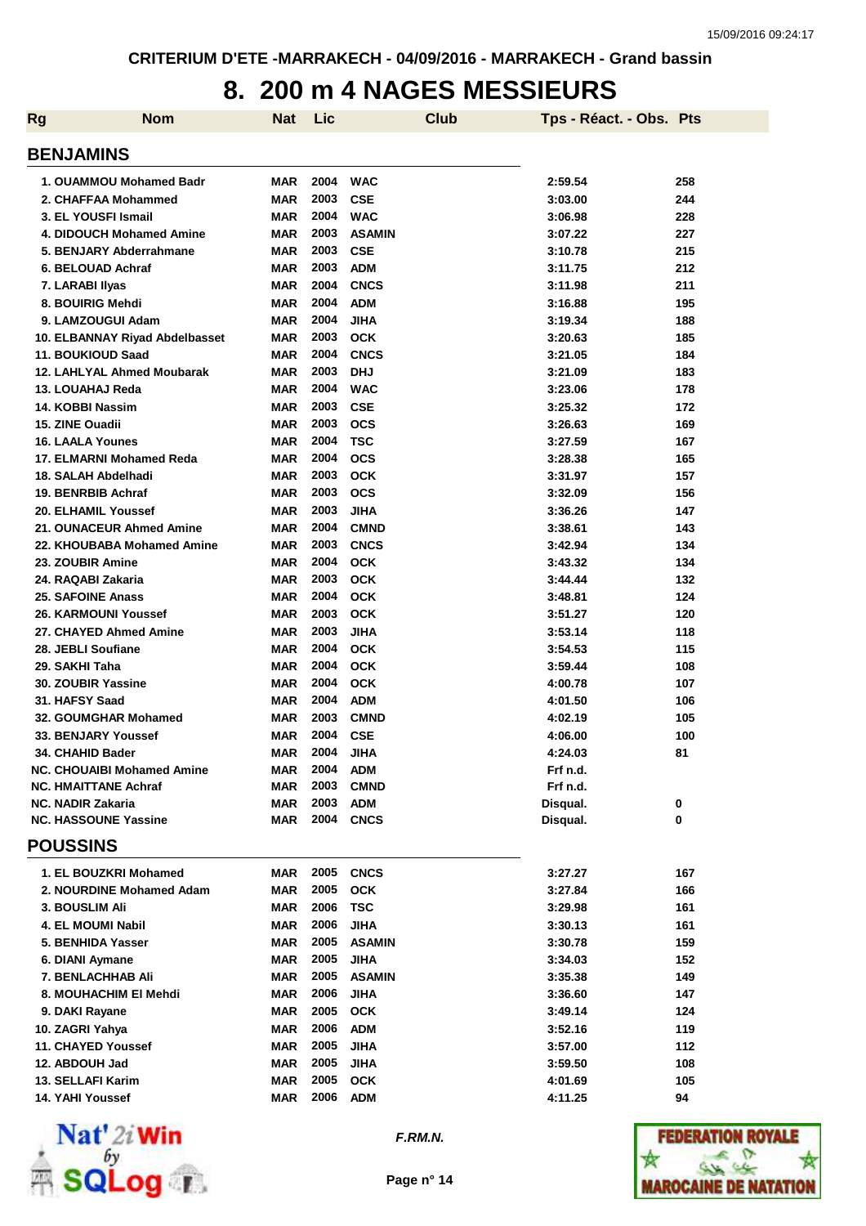### **8. 200 m 4 NAGES MESSIEURS**

| <b>Rg</b> | <b>Nom</b>                        | <b>Nat</b> | Lic  | <b>Club</b>   | Tps - Réact. - Obs. Pts |     |
|-----------|-----------------------------------|------------|------|---------------|-------------------------|-----|
|           | <b>BENJAMINS</b>                  |            |      |               |                         |     |
|           | 1. OUAMMOU Mohamed Badr           | <b>MAR</b> | 2004 | <b>WAC</b>    | 2:59.54                 | 258 |
|           | 2. CHAFFAA Mohammed               | <b>MAR</b> | 2003 | <b>CSE</b>    | 3:03.00                 | 244 |
|           | 3. EL YOUSFI Ismail               | <b>MAR</b> | 2004 | <b>WAC</b>    | 3:06.98                 | 228 |
|           | 4. DIDOUCH Mohamed Amine          | <b>MAR</b> | 2003 | <b>ASAMIN</b> | 3:07.22                 | 227 |
|           | 5. BENJARY Abderrahmane           | <b>MAR</b> | 2003 | <b>CSE</b>    | 3:10.78                 | 215 |
|           | 6. BELOUAD Achraf                 | <b>MAR</b> | 2003 | <b>ADM</b>    | 3:11.75                 | 212 |
|           | 7. LARABI IIyas                   | <b>MAR</b> | 2004 | <b>CNCS</b>   | 3:11.98                 | 211 |
|           | 8. BOUIRIG Mehdi                  | <b>MAR</b> | 2004 | <b>ADM</b>    | 3:16.88                 | 195 |
|           | 9. LAMZOUGUI Adam                 | <b>MAR</b> | 2004 | <b>JIHA</b>   | 3:19.34                 | 188 |
|           | 10. ELBANNAY Riyad Abdelbasset    | <b>MAR</b> | 2003 | <b>OCK</b>    | 3:20.63                 | 185 |
|           | 11. BOUKIOUD Saad                 | <b>MAR</b> | 2004 | <b>CNCS</b>   | 3:21.05                 | 184 |
|           | 12. LAHLYAL Ahmed Moubarak        | <b>MAR</b> | 2003 | <b>DHJ</b>    | 3:21.09                 | 183 |
|           | 13. LOUAHAJ Reda                  | <b>MAR</b> | 2004 | <b>WAC</b>    | 3:23.06                 | 178 |
|           | 14. KOBBI Nassim                  | <b>MAR</b> | 2003 | <b>CSE</b>    | 3:25.32                 | 172 |
|           | 15. ZINE Ouadii                   | <b>MAR</b> | 2003 | <b>OCS</b>    | 3:26.63                 | 169 |
|           | <b>16. LAALA Younes</b>           | <b>MAR</b> | 2004 | <b>TSC</b>    | 3:27.59                 | 167 |
|           | 17. ELMARNI Mohamed Reda          | <b>MAR</b> | 2004 | <b>OCS</b>    | 3:28.38                 | 165 |
|           | 18. SALAH Abdelhadi               | <b>MAR</b> | 2003 | <b>OCK</b>    | 3:31.97                 | 157 |
|           | 19. BENRBIB Achraf                | <b>MAR</b> | 2003 | <b>OCS</b>    | 3:32.09                 | 156 |
|           | 20. ELHAMIL Youssef               | <b>MAR</b> | 2003 | <b>JIHA</b>   | 3:36.26                 | 147 |
|           | 21. OUNACEUR Ahmed Amine          | <b>MAR</b> | 2004 | <b>CMND</b>   | 3:38.61                 | 143 |
|           | 22. KHOUBABA Mohamed Amine        | <b>MAR</b> | 2003 | <b>CNCS</b>   | 3:42.94                 | 134 |
|           | 23. ZOUBIR Amine                  | <b>MAR</b> | 2004 | <b>OCK</b>    | 3:43.32                 | 134 |
|           | 24. RAQABI Zakaria                | <b>MAR</b> | 2003 | <b>OCK</b>    | 3:44.44                 | 132 |
|           | <b>25. SAFOINE Anass</b>          | <b>MAR</b> | 2004 | <b>OCK</b>    | 3:48.81                 | 124 |
|           | 26. KARMOUNI Youssef              | <b>MAR</b> | 2003 | <b>OCK</b>    | 3:51.27                 | 120 |
|           | 27. CHAYED Ahmed Amine            | <b>MAR</b> | 2003 | <b>JIHA</b>   | 3:53.14                 | 118 |
|           | 28. JEBLI Soufiane                | <b>MAR</b> | 2004 | <b>OCK</b>    | 3:54.53                 | 115 |
|           | 29. SAKHI Taha                    | <b>MAR</b> | 2004 | <b>OCK</b>    | 3:59.44                 | 108 |
|           | 30. ZOUBIR Yassine                | <b>MAR</b> | 2004 | <b>OCK</b>    | 4:00.78                 | 107 |
|           | 31. HAFSY Saad                    | <b>MAR</b> | 2004 | <b>ADM</b>    | 4:01.50                 | 106 |
|           | 32. GOUMGHAR Mohamed              | <b>MAR</b> | 2003 | <b>CMND</b>   | 4:02.19                 | 105 |
|           | <b>33. BENJARY Youssef</b>        | <b>MAR</b> | 2004 | <b>CSE</b>    | 4:06.00                 | 100 |
|           | 34. CHAHID Bader                  | <b>MAR</b> | 2004 | JIHA          | 4:24.03                 | 81  |
|           | <b>NC. CHOUAIBI Mohamed Amine</b> | MAR        | 2004 | <b>ADM</b>    | Frf n.d.                |     |
|           | <b>NC. HMAITTANE Achraf</b>       | MAR        | 2003 | <b>CMND</b>   | Frf n.d.                |     |
|           | <b>NC. NADIR Zakaria</b>          | MAR        | 2003 | <b>ADM</b>    | Disqual.                | 0   |
|           | <b>NC. HASSOUNE Yassine</b>       | MAR        | 2004 | <b>CNCS</b>   | Disqual.                | 0   |
|           | <b>POUSSINS</b>                   |            |      |               |                         |     |
|           | 1. EL BOUZKRI Mohamed             | MAR        | 2005 | <b>CNCS</b>   | 3:27.27                 | 167 |
|           | 2. NOURDINE Mohamed Adam          | MAR        | 2005 | <b>OCK</b>    | 3:27.84                 | 166 |
|           | 3. BOUSLIM Ali                    | MAR        | 2006 | <b>TSC</b>    | 3:29.98                 | 161 |
|           | <b>4. EL MOUMI Nabil</b>          | MAR        | 2006 | <b>JIHA</b>   | 3:30.13                 | 161 |
|           | 5. BENHIDA Yasser                 | MAR        | 2005 | <b>ASAMIN</b> | 3:30.78                 | 159 |
|           | 6. DIANI Aymane                   | MAR        | 2005 | <b>JIHA</b>   | 3:34.03                 | 152 |
|           | 7. BENLACHHAB Ali                 | MAR        | 2005 | <b>ASAMIN</b> | 3:35.38                 | 149 |
|           | 8. MOUHACHIM EI Mehdi             | MAR        | 2006 | <b>JIHA</b>   | 3:36.60                 | 147 |
|           | 9. DAKI Rayane                    | MAR        | 2005 | <b>OCK</b>    | 3:49.14                 | 124 |
|           | 10. ZAGRI Yahya                   | MAR        | 2006 | <b>ADM</b>    | 3:52.16                 | 119 |
|           | 11. CHAYED Youssef                | MAR        | 2005 | <b>JIHA</b>   | 3:57.00                 | 112 |
|           | 12. ABDOUH Jad                    | MAR        | 2005 | <b>JIHA</b>   | 3:59.50                 | 108 |
|           | 13. SELLAFI Karim                 | MAR        | 2005 | <b>OCK</b>    | 4:01.69                 | 105 |
|           | 14. YAHI Youssef                  | MAR        | 2006 | <b>ADM</b>    | 4:11.25                 | 94  |



**F.RM.N.**

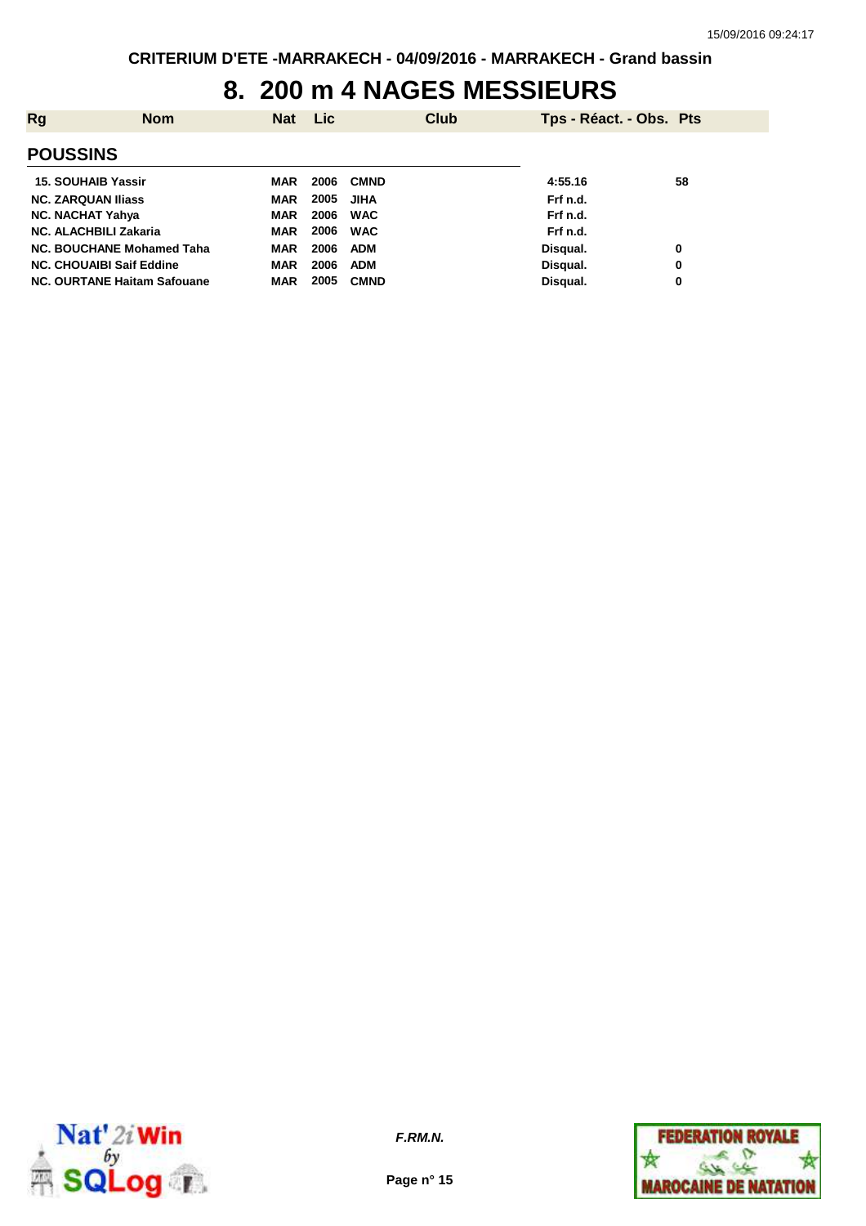## **8. 200 m 4 NAGES MESSIEURS**

| Rg                              | <b>Nom</b> | <b>Nat</b> | <b>Lic</b> | <b>Club</b> | Tps - Réact. - Obs. Pts |    |
|---------------------------------|------------|------------|------------|-------------|-------------------------|----|
| <b>POUSSINS</b>                 |            |            |            |             |                         |    |
| <b>15. SOUHAIB Yassir</b>       |            | MAR        | 2006       | <b>CMND</b> | 4:55.16                 | 58 |
| <b>NC. ZARQUAN Iliass</b>       |            | <b>MAR</b> | 2005       | JIHA        | Frf n.d.                |    |
| <b>NC. NACHAT Yahya</b>         |            | <b>MAR</b> | 2006       | <b>WAC</b>  | Frf n.d.                |    |
| <b>NC. ALACHBILI Zakaria</b>    |            | MAR        | 2006       | <b>WAC</b>  | Frf n.d.                |    |
| NC. BOUCHANE Mohamed Taha       |            | <b>MAR</b> | 2006       | <b>ADM</b>  | Disqual.                | 0  |
| <b>NC. CHOUAIBI Saif Eddine</b> |            | <b>MAR</b> | 2006       | <b>ADM</b>  | Disqual.                | 0  |
| NC. OURTANE Haitam Safouane     |            | <b>MAR</b> | 2005       | <b>CMND</b> | Disqual.                | 0  |



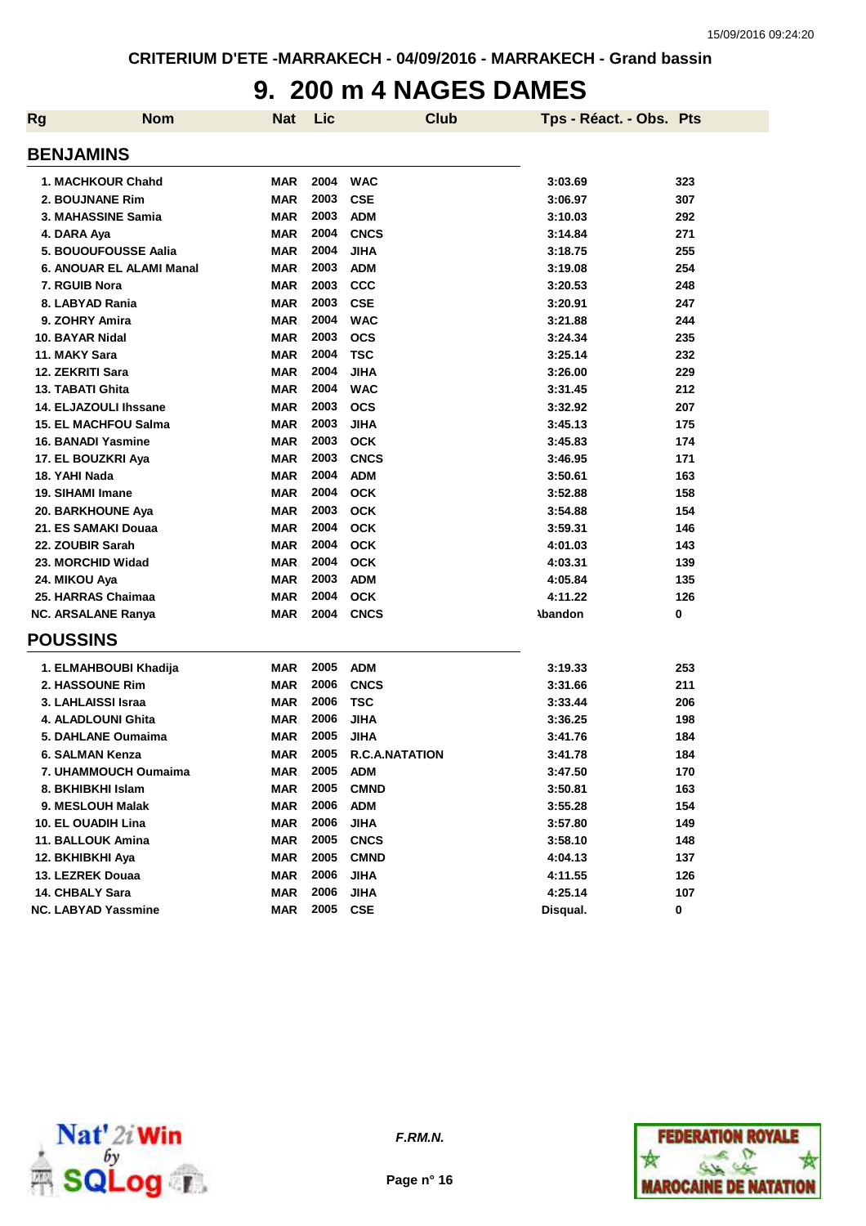## **9. 200 m 4 NAGES DAMES**

| <b>Rg</b> | <b>Nom</b>                   | Nat        | Lic  | <b>Club</b>           | Tps - Réact. - Obs. Pts |     |
|-----------|------------------------------|------------|------|-----------------------|-------------------------|-----|
|           | <b>BENJAMINS</b>             |            |      |                       |                         |     |
|           | 1. MACHKOUR Chahd            | <b>MAR</b> | 2004 | <b>WAC</b>            | 3:03.69                 | 323 |
|           | 2. BOUJNANE Rim              | <b>MAR</b> | 2003 | <b>CSE</b>            | 3:06.97                 | 307 |
|           | 3. MAHASSINE Samia           | <b>MAR</b> | 2003 | <b>ADM</b>            | 3:10.03                 | 292 |
|           | 4. DARA Aya                  | <b>MAR</b> | 2004 | <b>CNCS</b>           | 3:14.84                 | 271 |
|           | 5. BOUOUFOUSSE Aalia         | <b>MAR</b> | 2004 | <b>JIHA</b>           | 3:18.75                 | 255 |
|           | 6. ANOUAR EL ALAMI Manal     | <b>MAR</b> | 2003 | <b>ADM</b>            | 3:19.08                 | 254 |
|           | 7. RGUIB Nora                | <b>MAR</b> | 2003 | <b>CCC</b>            | 3:20.53                 | 248 |
|           | 8. LABYAD Rania              | <b>MAR</b> | 2003 | <b>CSE</b>            | 3:20.91                 | 247 |
|           | 9. ZOHRY Amira               | <b>MAR</b> | 2004 | <b>WAC</b>            | 3:21.88                 | 244 |
|           | 10. BAYAR Nidal              | <b>MAR</b> | 2003 | <b>OCS</b>            | 3:24.34                 | 235 |
|           | 11. MAKY Sara                | <b>MAR</b> | 2004 | <b>TSC</b>            | 3:25.14                 | 232 |
|           | 12. ZEKRITI Sara             | <b>MAR</b> | 2004 | <b>JIHA</b>           | 3:26.00                 | 229 |
|           | 13. TABATI Ghita             | <b>MAR</b> | 2004 | <b>WAC</b>            | 3:31.45                 | 212 |
|           | <b>14. ELJAZOULI Ihssane</b> | <b>MAR</b> | 2003 | <b>OCS</b>            | 3:32.92                 | 207 |
|           | <b>15. EL MACHFOU Salma</b>  | <b>MAR</b> | 2003 | <b>JIHA</b>           | 3:45.13                 | 175 |
|           | <b>16. BANADI Yasmine</b>    | <b>MAR</b> | 2003 | <b>OCK</b>            | 3:45.83                 | 174 |
|           | 17. EL BOUZKRI Aya           | <b>MAR</b> | 2003 | <b>CNCS</b>           | 3:46.95                 | 171 |
|           | 18. YAHI Nada                | <b>MAR</b> | 2004 | <b>ADM</b>            | 3:50.61                 | 163 |
|           | 19. SIHAMI Imane             | <b>MAR</b> | 2004 | <b>OCK</b>            | 3:52.88                 | 158 |
|           | 20. BARKHOUNE Aya            | <b>MAR</b> | 2003 | <b>OCK</b>            | 3:54.88                 | 154 |
|           | 21. ES SAMAKI Douaa          | <b>MAR</b> | 2004 | <b>OCK</b>            | 3:59.31                 | 146 |
|           | 22. ZOUBIR Sarah             | <b>MAR</b> | 2004 | <b>OCK</b>            | 4:01.03                 | 143 |
|           | 23. MORCHID Widad            | <b>MAR</b> | 2004 | <b>OCK</b>            | 4:03.31                 | 139 |
|           | 24. MIKOU Aya                | <b>MAR</b> | 2003 | <b>ADM</b>            | 4:05.84                 | 135 |
|           | 25. HARRAS Chaimaa           | <b>MAR</b> | 2004 | <b>OCK</b>            | 4:11.22                 | 126 |
|           | <b>NC. ARSALANE Ranya</b>    | <b>MAR</b> | 2004 | <b>CNCS</b>           | <b>\bandon</b>          | 0   |
|           | <b>POUSSINS</b>              |            |      |                       |                         |     |
|           | 1. ELMAHBOUBI Khadija        | <b>MAR</b> | 2005 | <b>ADM</b>            | 3:19.33                 | 253 |
|           | 2. HASSOUNE Rim              | <b>MAR</b> | 2006 | <b>CNCS</b>           | 3:31.66                 | 211 |
|           | 3. LAHLAISSI Israa           | <b>MAR</b> | 2006 | <b>TSC</b>            | 3:33.44                 | 206 |
|           | 4. ALADLOUNI Ghita           | <b>MAR</b> | 2006 | <b>JIHA</b>           | 3:36.25                 | 198 |
|           | 5. DAHLANE Oumaima           | <b>MAR</b> | 2005 | <b>JIHA</b>           | 3:41.76                 | 184 |
|           | 6. SALMAN Kenza              | <b>MAR</b> | 2005 | <b>R.C.A.NATATION</b> | 3:41.78                 | 184 |
|           | 7. UHAMMOUCH Oumaima         | MAR        | 2005 | <b>ADM</b>            | 3:47.50                 | 170 |
|           | 8. BKHIBKHI Islam            | MAR        | 2005 | <b>CMND</b>           | 3:50.81                 | 163 |
|           | 9. MESLOUH Malak             | <b>MAR</b> | 2006 | <b>ADM</b>            | 3:55.28                 | 154 |
|           | 10. EL OUADIH Lina           | <b>MAR</b> | 2006 | <b>JIHA</b>           | 3:57.80                 | 149 |
|           | 11. BALLOUK Amina            | <b>MAR</b> | 2005 | <b>CNCS</b>           | 3:58.10                 | 148 |
|           | 12. BKHIBKHI Aya             | <b>MAR</b> | 2005 | <b>CMND</b>           | 4:04.13                 | 137 |
|           | 13. LEZREK Douaa             | <b>MAR</b> | 2006 | <b>JIHA</b>           | 4:11.55                 | 126 |
|           | 14. CHBALY Sara              | <b>MAR</b> | 2006 | <b>JIHA</b>           | 4:25.14                 | 107 |
|           | <b>NC. LABYAD Yassmine</b>   | <b>MAR</b> | 2005 | CSE                   | Disqual.                | 0   |



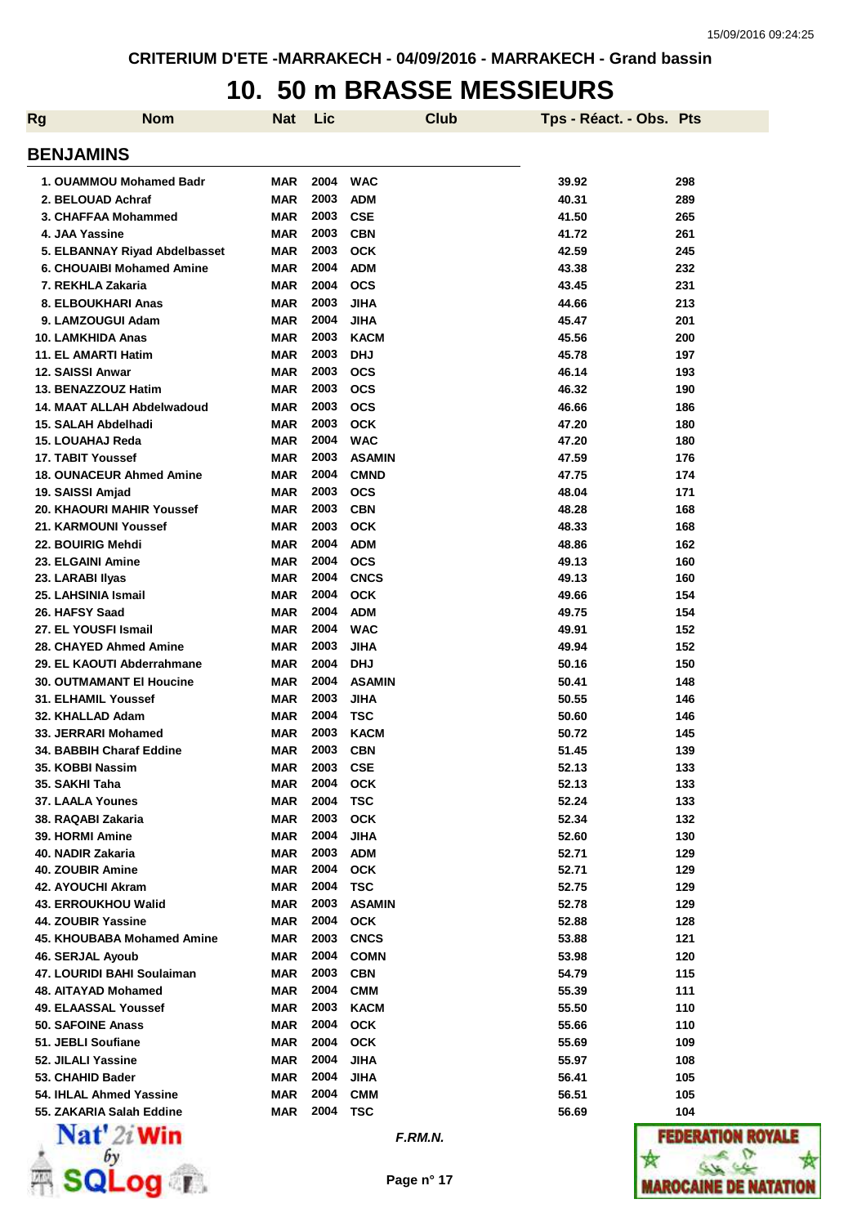#### **10. 50 m BRASSE MESSIEURS**

| <b>Rg</b> | <b>Nom</b>                       | <b>Nat</b> | <b>Lic</b> |               | <b>Club</b> | Tps - Réact. - Obs. Pts |                   |
|-----------|----------------------------------|------------|------------|---------------|-------------|-------------------------|-------------------|
|           | <b>BENJAMINS</b>                 |            |            |               |             |                         |                   |
|           | 1. OUAMMOU Mohamed Badr          | MAR        | 2004       | <b>WAC</b>    |             | 39.92                   | 298               |
|           | 2. BELOUAD Achraf                | <b>MAR</b> | 2003       | <b>ADM</b>    |             | 40.31                   | 289               |
|           | 3. CHAFFAA Mohammed              | <b>MAR</b> | 2003       | <b>CSE</b>    |             | 41.50                   | 265               |
|           | 4. JAA Yassine                   | <b>MAR</b> | 2003       | <b>CBN</b>    |             | 41.72                   | 261               |
|           | 5. ELBANNAY Riyad Abdelbasset    | <b>MAR</b> | 2003       | <b>OCK</b>    |             | 42.59                   | 245               |
|           | <b>6. CHOUAIBI Mohamed Amine</b> | <b>MAR</b> | 2004       | <b>ADM</b>    |             | 43.38                   | 232               |
|           | 7. REKHLA Zakaria                | <b>MAR</b> | 2004       | <b>OCS</b>    |             | 43.45                   | 231               |
|           | 8. ELBOUKHARI Anas               | <b>MAR</b> | 2003       | <b>JIHA</b>   |             | 44.66                   | 213               |
|           | 9. LAMZOUGUI Adam                | <b>MAR</b> | 2004       | <b>JIHA</b>   |             | 45.47                   | 201               |
|           | 10. LAMKHIDA Anas                | <b>MAR</b> | 2003       | <b>KACM</b>   |             | 45.56                   | 200               |
|           | 11. EL AMARTI Hatim              | <b>MAR</b> | 2003       | <b>DHJ</b>    |             | 45.78                   | 197               |
|           | 12. SAISSI Anwar                 | MAR        | 2003       | <b>OCS</b>    |             | 46.14                   | 193               |
|           | 13. BENAZZOUZ Hatim              | <b>MAR</b> | 2003       | <b>OCS</b>    |             | 46.32                   | 190               |
|           | 14. MAAT ALLAH Abdelwadoud       | <b>MAR</b> | 2003       | <b>OCS</b>    |             | 46.66                   | 186               |
|           | 15. SALAH Abdelhadi              | <b>MAR</b> | 2003       | <b>OCK</b>    |             | 47.20                   | 180               |
|           | 15. LOUAHAJ Reda                 | <b>MAR</b> | 2004       | <b>WAC</b>    |             | 47.20                   | 180               |
|           | 17. TABIT Youssef                | MAR        | 2003       | <b>ASAMIN</b> |             | 47.59                   | 176               |
|           | <b>18. OUNACEUR Ahmed Amine</b>  | <b>MAR</b> | 2004       | <b>CMND</b>   |             | 47.75                   | 174               |
|           | 19. SAISSI Amjad                 | <b>MAR</b> | 2003       | <b>OCS</b>    |             | 48.04                   | 171               |
|           | 20. KHAOURI MAHIR Youssef        | <b>MAR</b> | 2003       | <b>CBN</b>    |             | 48.28                   | 168               |
|           | 21. KARMOUNI Youssef             | <b>MAR</b> | 2003       | <b>OCK</b>    |             | 48.33                   | 168               |
|           | 22. BOUIRIG Mehdi                | <b>MAR</b> | 2004       | <b>ADM</b>    |             | 48.86                   | 162               |
|           | 23. ELGAINI Amine                | <b>MAR</b> | 2004       | <b>OCS</b>    |             | 49.13                   | 160               |
|           | 23. LARABI Ilyas                 | <b>MAR</b> | 2004       | <b>CNCS</b>   |             | 49.13                   | 160               |
|           | 25. LAHSINIA Ismail              | <b>MAR</b> | 2004       | <b>OCK</b>    |             | 49.66                   | 154               |
|           | 26. HAFSY Saad                   | <b>MAR</b> | 2004       | <b>ADM</b>    |             | 49.75                   | 154               |
|           | 27. EL YOUSFI Ismail             | <b>MAR</b> | 2004       | <b>WAC</b>    |             | 49.91                   | 152               |
|           | 28. CHAYED Ahmed Amine           | <b>MAR</b> | 2003       | <b>JIHA</b>   |             | 49.94                   | 152               |
|           | 29. EL KAOUTI Abderrahmane       | <b>MAR</b> | 2004       | <b>DHJ</b>    |             | 50.16                   | 150               |
|           | <b>30. OUTMAMANT EI Houcine</b>  | <b>MAR</b> | 2004       | <b>ASAMIN</b> |             | 50.41                   | 148               |
|           | 31. ELHAMIL Youssef              | <b>MAR</b> | 2003       | <b>JIHA</b>   |             | 50.55                   | 146               |
|           | 32. KHALLAD Adam                 | <b>MAR</b> | 2004       | TSC           |             | 50.60                   | 146               |
|           | 33. JERRARI Mohamed              | MAR        | 2003       | <b>KACM</b>   |             | 50.72                   | 145               |
|           | 34. BABBIH Charaf Eddine         | MAR        | 2003       | <b>CBN</b>    |             | 51.45                   | 139               |
|           | 35. KOBBI Nassim                 | MAR        | 2003       | <b>CSE</b>    |             | 52.13                   | 133               |
|           | 35. SAKHI Taha                   | <b>MAR</b> | 2004       | <b>OCK</b>    |             | 52.13                   | 133               |
|           | <b>37. LAALA Younes</b>          | <b>MAR</b> | 2004       | <b>TSC</b>    |             | 52.24                   | 133               |
|           | 38. RAQABI Zakaria               | <b>MAR</b> | 2003       | <b>OCK</b>    |             | 52.34                   | 132               |
|           | <b>39. HORMI Amine</b>           | <b>MAR</b> | 2004       | <b>JIHA</b>   |             | 52.60                   | 130               |
|           | 40. NADIR Zakaria                | MAR        | 2003       | <b>ADM</b>    |             | 52.71                   | 129               |
|           | 40. ZOUBIR Amine                 | MAR        | 2004       | <b>OCK</b>    |             | 52.71                   | 129               |
|           | 42. AYOUCHI Akram                | MAR        | 2004       | <b>TSC</b>    |             | 52.75                   | 129               |
|           | <b>43. ERROUKHOU Walid</b>       | MAR        | 2003       | <b>ASAMIN</b> |             | 52.78                   | 129               |
|           | 44. ZOUBIR Yassine               | MAR        | 2004       | <b>OCK</b>    |             | 52.88                   | 128               |
|           | 45. KHOUBABA Mohamed Amine       | MAR        | 2003       | <b>CNCS</b>   |             | 53.88                   | 121               |
|           | 46. SERJAL Ayoub                 | MAR        | 2004       | <b>COMN</b>   |             | 53.98                   | 120               |
|           | 47. LOURIDI BAHI Soulaiman       | MAR        | 2003       | <b>CBN</b>    |             | 54.79                   | 115               |
|           | 48. AITAYAD Mohamed              | MAR        | 2004       | <b>CMM</b>    |             | 55.39                   | 111               |
|           | 49. ELAASSAL Youssef             | MAR        | 2003       | <b>KACM</b>   |             | 55.50                   | 110               |
|           | 50. SAFOINE Anass                | MAR        | 2004       | <b>OCK</b>    |             | 55.66                   | 110               |
|           | 51. JEBLI Soufiane               | MAR        | 2004       | <b>OCK</b>    |             | 55.69                   | 109               |
|           | 52. JILALI Yassine               | MAR        | 2004       | <b>JIHA</b>   |             | 55.97                   | 108               |
|           | 53. CHAHID Bader                 | MAR        | 2004       | <b>JIHA</b>   |             | 56.41                   | 105               |
|           | 54. IHLAL Ahmed Yassine          | <b>MAR</b> | 2004       | <b>CMM</b>    |             | 56.51                   | 105               |
|           | 55. ZAKARIA Salah Eddine         | MAR        | 2004       | <b>TSC</b>    |             | 56.69                   | 104               |
|           | $\mathbf{Nat}'$ 2i Win           |            |            | F.RM.N.       |             |                         | <b>FEDERATION</b> |



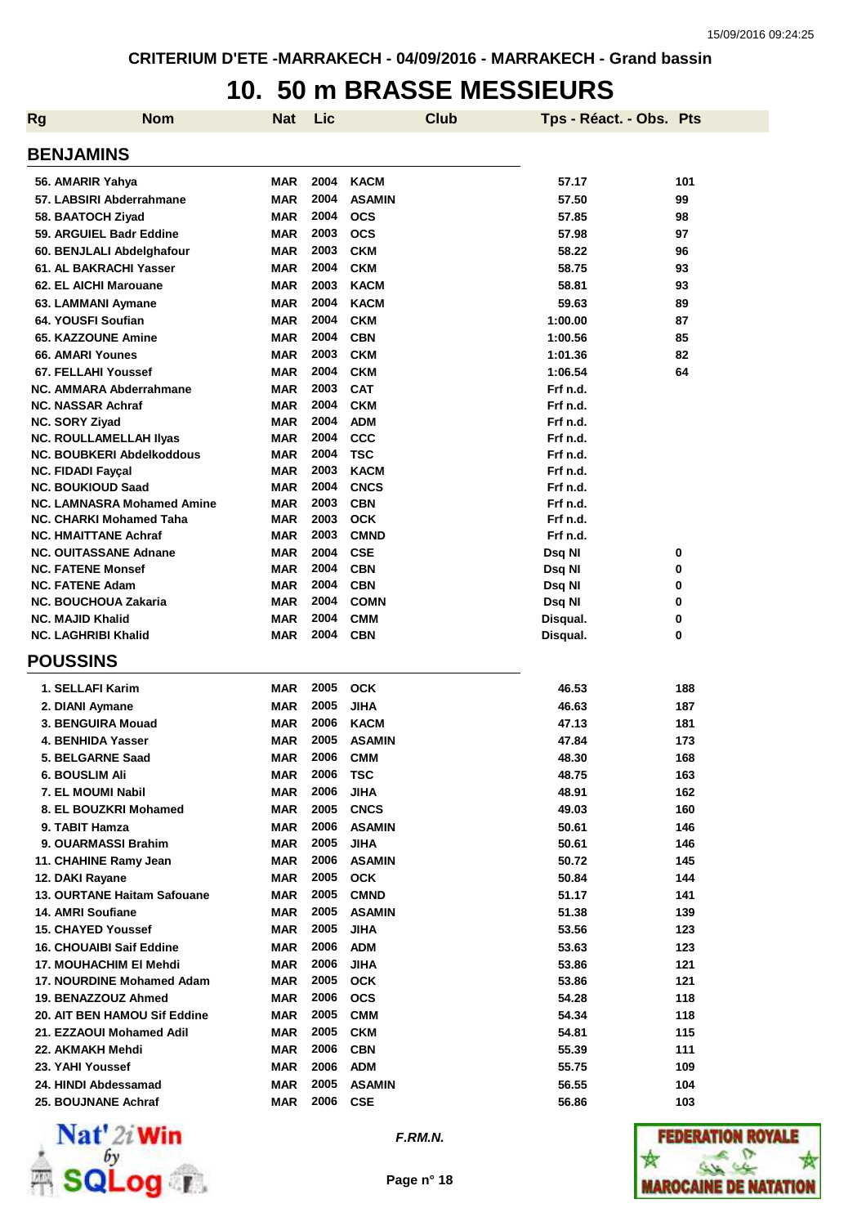#### **10. 50 m BRASSE MESSIEURS**

| <b>Rg</b> | <b>Nom</b>                                            | Nat                      | <b>Lic</b>   | <b>Club</b>               | Tps - Réact. - Obs. Pts |        |
|-----------|-------------------------------------------------------|--------------------------|--------------|---------------------------|-------------------------|--------|
|           | <b>BENJAMINS</b>                                      |                          |              |                           |                         |        |
|           | 56. AMARIR Yahya                                      | MAR                      | 2004         | <b>KACM</b>               | 57.17                   | 101    |
|           | 57. LABSIRI Abderrahmane                              | MAR                      | 2004         | <b>ASAMIN</b>             | 57.50                   | 99     |
|           | 58. BAATOCH Ziyad                                     | <b>MAR</b>               | 2004         | <b>OCS</b>                | 57.85                   | 98     |
|           | 59. ARGUIEL Badr Eddine                               | <b>MAR</b>               | 2003         | <b>OCS</b>                | 57.98                   | 97     |
|           | 60. BENJLALI Abdelghafour                             | <b>MAR</b>               | 2003         | <b>CKM</b>                | 58.22                   | 96     |
|           | 61. AL BAKRACHI Yasser                                | <b>MAR</b>               | 2004         | <b>CKM</b>                | 58.75                   | 93     |
|           | 62. EL AICHI Marouane                                 | <b>MAR</b>               | 2003         | <b>KACM</b>               | 58.81                   | 93     |
|           | 63. LAMMANI Aymane                                    | <b>MAR</b>               | 2004         | <b>KACM</b>               | 59.63                   | 89     |
|           | 64. YOUSFI Soufian                                    | <b>MAR</b>               | 2004         | <b>CKM</b>                | 1:00.00                 | 87     |
|           | 65. KAZZOUNE Amine                                    | <b>MAR</b>               | 2004         | <b>CBN</b>                | 1:00.56                 | 85     |
|           | 66. AMARI Younes                                      | <b>MAR</b>               | 2003         | <b>CKM</b>                | 1:01.36                 | 82     |
|           | 67. FELLAHI Youssef                                   | <b>MAR</b>               | 2004         | <b>CKM</b>                | 1:06.54                 | 64     |
|           | NC. AMMARA Abderrahmane                               | MAR                      | 2003         | <b>CAT</b>                | Frf n.d.                |        |
|           | <b>NC. NASSAR Achraf</b>                              | <b>MAR</b>               | 2004         | <b>CKM</b>                | Frf n.d.                |        |
|           | <b>NC. SORY Ziyad</b>                                 | <b>MAR</b>               | 2004         | <b>ADM</b>                | Frf n.d.                |        |
|           | <b>NC. ROULLAMELLAH IIyas</b>                         | <b>MAR</b>               | 2004         | CCC                       | Frf n.d.                |        |
|           | <b>NC. BOUBKERI Abdelkoddous</b>                      | <b>MAR</b>               | 2004         | <b>TSC</b>                | Frf n.d.                |        |
|           | <b>NC. FIDADI Fayçal</b>                              | <b>MAR</b>               | 2003         | <b>KACM</b>               | Frf n.d.                |        |
|           | <b>NC. BOUKIOUD Saad</b>                              | <b>MAR</b>               | 2004         | <b>CNCS</b>               | Frf n.d.                |        |
|           | <b>NC. LAMNASRA Mohamed Amine</b>                     | <b>MAR</b>               | 2003         | <b>CBN</b>                | Frf n.d.                |        |
|           | NC. CHARKI Mohamed Taha                               | <b>MAR</b>               | 2003         | <b>OCK</b>                | Frf n.d.                |        |
|           | <b>NC. HMAITTANE Achraf</b>                           | MAR                      | 2003         | <b>CMND</b>               | Frf n.d.                |        |
|           | <b>NC. OUITASSANE Adnane</b>                          | <b>MAR</b>               | 2004         | <b>CSE</b>                | Dsq NI                  | 0      |
|           | <b>NC. FATENE Monsef</b>                              | <b>MAR</b>               | 2004<br>2004 | <b>CBN</b>                | Dsq NI                  | 0      |
|           | <b>NC. FATENE Adam</b><br><b>NC. BOUCHOUA Zakaria</b> | <b>MAR</b><br><b>MAR</b> | 2004         | <b>CBN</b><br><b>COMN</b> | Dsq NI<br>Dsq NI        | 0<br>0 |
|           | <b>NC. MAJID Khalid</b>                               | <b>MAR</b>               | 2004         | <b>CMM</b>                |                         | 0      |
|           | <b>NC. LAGHRIBI Khalid</b>                            | <b>MAR</b>               | 2004         | <b>CBN</b>                | Disqual.<br>Disqual.    | 0      |
|           | <b>POUSSINS</b>                                       |                          |              |                           |                         |        |
|           | 1. SELLAFI Karim                                      | MAR                      | 2005         | <b>OCK</b>                | 46.53                   | 188    |
|           | 2. DIANI Aymane                                       | <b>MAR</b>               | 2005         | JIHA                      | 46.63                   | 187    |
|           | 3. BENGUIRA Mouad                                     | <b>MAR</b>               | 2006         | <b>KACM</b>               | 47.13                   | 181    |
|           | 4. BENHIDA Yasser                                     | <b>MAR</b>               | 2005         | <b>ASAMIN</b>             | 47.84                   | 173    |
|           | 5. BELGARNE Saad                                      | <b>MAR</b>               | 2006         | <b>CMM</b>                | 48.30                   | 168    |
|           | <b>6. BOUSLIM Ali</b>                                 | MAR                      | 2006         | <b>TSC</b>                | 48.75                   | 163    |
|           | 7. EL MOUMI Nabil                                     | <b>MAR</b>               | 2006         | <b>JIHA</b>               | 48.91                   | 162    |
|           | 8. EL BOUZKRI Mohamed                                 | MAR                      | 2005         | <b>CNCS</b>               | 49.03                   | 160    |
|           | 9. TABIT Hamza                                        | MAR                      | 2006         | <b>ASAMIN</b>             | 50.61                   | 146    |
|           | 9. OUARMASSI Brahim                                   | MAR                      | 2005         | JIHA                      | 50.61                   | 146    |
|           | 11. CHAHINE Ramy Jean                                 | MAR                      | 2006         | <b>ASAMIN</b>             | 50.72                   | 145    |
|           | 12. DAKI Rayane                                       | <b>MAR</b>               | 2005         | <b>OCK</b>                | 50.84                   | 144    |
|           | <b>13. OURTANE Haitam Safouane</b>                    | <b>MAR</b>               | 2005         | CMND                      | 51.17                   | 141    |
|           | 14. AMRI Soufiane                                     | <b>MAR</b>               | 2005         | <b>ASAMIN</b>             | 51.38                   | 139    |
|           | <b>15. CHAYED Youssef</b>                             | <b>MAR</b>               | 2005         | JIHA                      | 53.56                   | 123    |
|           | <b>16. CHOUAIBI Saif Eddine</b>                       | <b>MAR</b>               | 2006         | <b>ADM</b>                | 53.63                   | 123    |
|           | 17. MOUHACHIM EI Mehdi                                | <b>MAR</b>               | 2006         | JIHA                      | 53.86                   | 121    |
|           | 17. NOURDINE Mohamed Adam                             | MAR                      | 2005         | <b>OCK</b>                | 53.86                   | 121    |
|           | 19. BENAZZOUZ Ahmed                                   | MAR                      | 2006         | <b>OCS</b>                | 54.28                   | 118    |
|           | 20. AIT BEN HAMOU Sif Eddine                          | <b>MAR</b>               | 2005         | <b>CMM</b>                | 54.34                   | 118    |
|           | 21. EZZAOUI Mohamed Adil                              | <b>MAR</b>               | 2005         | <b>CKM</b>                | 54.81                   | 115    |
|           | 22. AKMAKH Mehdi                                      | <b>MAR</b>               | 2006         | <b>CBN</b>                | 55.39                   | 111    |
|           | 23. YAHI Youssef                                      | MAR                      | 2006         | <b>ADM</b>                | 55.75                   | 109    |
|           | 24. HINDI Abdessamad                                  | <b>MAR</b>               | 2005         | <b>ASAMIN</b>             | 56.55                   | 104    |
|           | 25. BOUJNANE Achraf                                   | <b>MAR</b>               | 2006         | <b>CSE</b>                | 56.86                   | 103    |



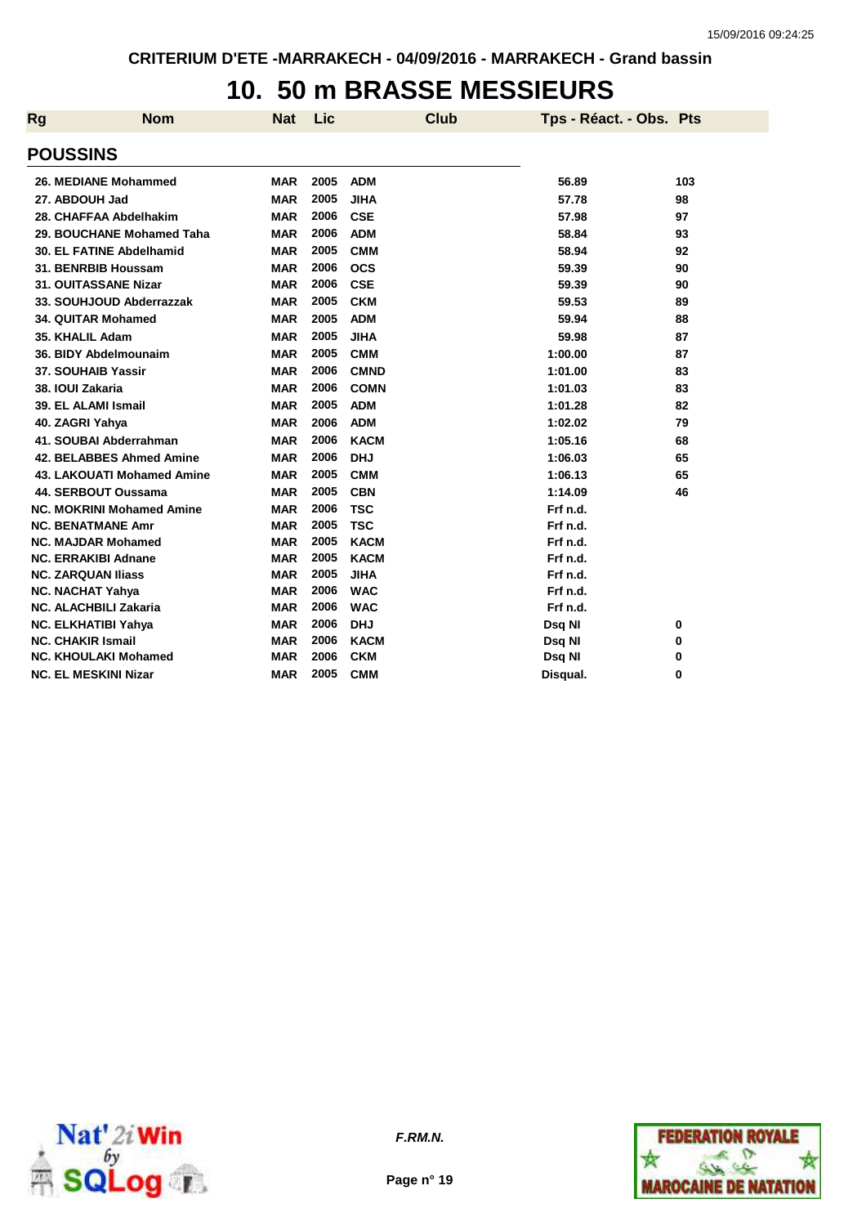### **10. 50 m BRASSE MESSIEURS**

| Rg | <b>Nom</b>                        | <b>Nat</b> | Lic  |             | Club | Tps - Réact. - Obs. Pts |     |
|----|-----------------------------------|------------|------|-------------|------|-------------------------|-----|
|    | <b>POUSSINS</b>                   |            |      |             |      |                         |     |
|    | 26. MEDIANE Mohammed              | <b>MAR</b> | 2005 | <b>ADM</b>  |      | 56.89                   | 103 |
|    | 27. ABDOUH Jad                    | <b>MAR</b> | 2005 | <b>JIHA</b> |      | 57.78                   | 98  |
|    | 28. CHAFFAA Abdelhakim            | <b>MAR</b> | 2006 | <b>CSE</b>  |      | 57.98                   | 97  |
|    | 29. BOUCHANE Mohamed Taha         | <b>MAR</b> | 2006 | <b>ADM</b>  |      | 58.84                   | 93  |
|    | 30. EL FATINE Abdelhamid          | <b>MAR</b> | 2005 | <b>CMM</b>  |      | 58.94                   | 92  |
|    | 31. BENRBIB Houssam               | <b>MAR</b> | 2006 | <b>OCS</b>  |      | 59.39                   | 90  |
|    | 31. OUITASSANE Nizar              | <b>MAR</b> | 2006 | <b>CSE</b>  |      | 59.39                   | 90  |
|    | 33. SOUHJOUD Abderrazzak          | <b>MAR</b> | 2005 | <b>CKM</b>  |      | 59.53                   | 89  |
|    | <b>34. QUITAR Mohamed</b>         | <b>MAR</b> | 2005 | <b>ADM</b>  |      | 59.94                   | 88  |
|    | 35. KHALIL Adam                   | <b>MAR</b> | 2005 | <b>JIHA</b> |      | 59.98                   | 87  |
|    | 36. BIDY Abdelmounaim             | <b>MAR</b> | 2005 | <b>CMM</b>  |      | 1:00.00                 | 87  |
|    | 37. SOUHAIB Yassir                | <b>MAR</b> | 2006 | <b>CMND</b> |      | 1:01.00                 | 83  |
|    | 38. IOUI Zakaria                  | <b>MAR</b> | 2006 | <b>COMN</b> |      | 1:01.03                 | 83  |
|    | 39. EL ALAMI Ismail               | <b>MAR</b> | 2005 | <b>ADM</b>  |      | 1:01.28                 | 82  |
|    | 40. ZAGRI Yahya                   | <b>MAR</b> | 2006 | <b>ADM</b>  |      | 1:02.02                 | 79  |
|    | 41. SOUBAI Abderrahman            | <b>MAR</b> | 2006 | <b>KACM</b> |      | 1:05.16                 | 68  |
|    | 42. BELABBES Ahmed Amine          | <b>MAR</b> | 2006 | <b>DHJ</b>  |      | 1:06.03                 | 65  |
|    | <b>43. LAKOUATI Mohamed Amine</b> | <b>MAR</b> | 2005 | <b>CMM</b>  |      | 1:06.13                 | 65  |
|    | 44. SERBOUT Oussama               | <b>MAR</b> | 2005 | <b>CBN</b>  |      | 1:14.09                 | 46  |
|    | <b>NC. MOKRINI Mohamed Amine</b>  | <b>MAR</b> | 2006 | <b>TSC</b>  |      | Frf n.d.                |     |
|    | <b>NC. BENATMANE Amr</b>          | <b>MAR</b> | 2005 | <b>TSC</b>  |      | Frf n.d.                |     |
|    | <b>NC. MAJDAR Mohamed</b>         | <b>MAR</b> | 2005 | <b>KACM</b> |      | Frf n.d.                |     |
|    | <b>NC. ERRAKIBI Adnane</b>        | <b>MAR</b> | 2005 | <b>KACM</b> |      | Frf n.d.                |     |
|    | <b>NC. ZARQUAN Iliass</b>         | <b>MAR</b> | 2005 | <b>JIHA</b> |      | Frf n.d.                |     |
|    | <b>NC. NACHAT Yahya</b>           | <b>MAR</b> | 2006 | <b>WAC</b>  |      | Frf n.d.                |     |
|    | <b>NC. ALACHBILI Zakaria</b>      | <b>MAR</b> | 2006 | <b>WAC</b>  |      | Frf n.d.                |     |
|    | NC. ELKHATIBI Yahya               | <b>MAR</b> | 2006 | <b>DHJ</b>  |      | Dsg NI                  | 0   |
|    | <b>NC. CHAKIR Ismail</b>          | <b>MAR</b> | 2006 | <b>KACM</b> |      | Dsq NI                  | 0   |
|    | <b>NC. KHOULAKI Mohamed</b>       | <b>MAR</b> | 2006 | <b>CKM</b>  |      | Dsq NI                  | 0   |
|    | <b>NC. EL MESKINI Nizar</b>       | <b>MAR</b> | 2005 | <b>CMM</b>  |      | Disqual.                | 0   |



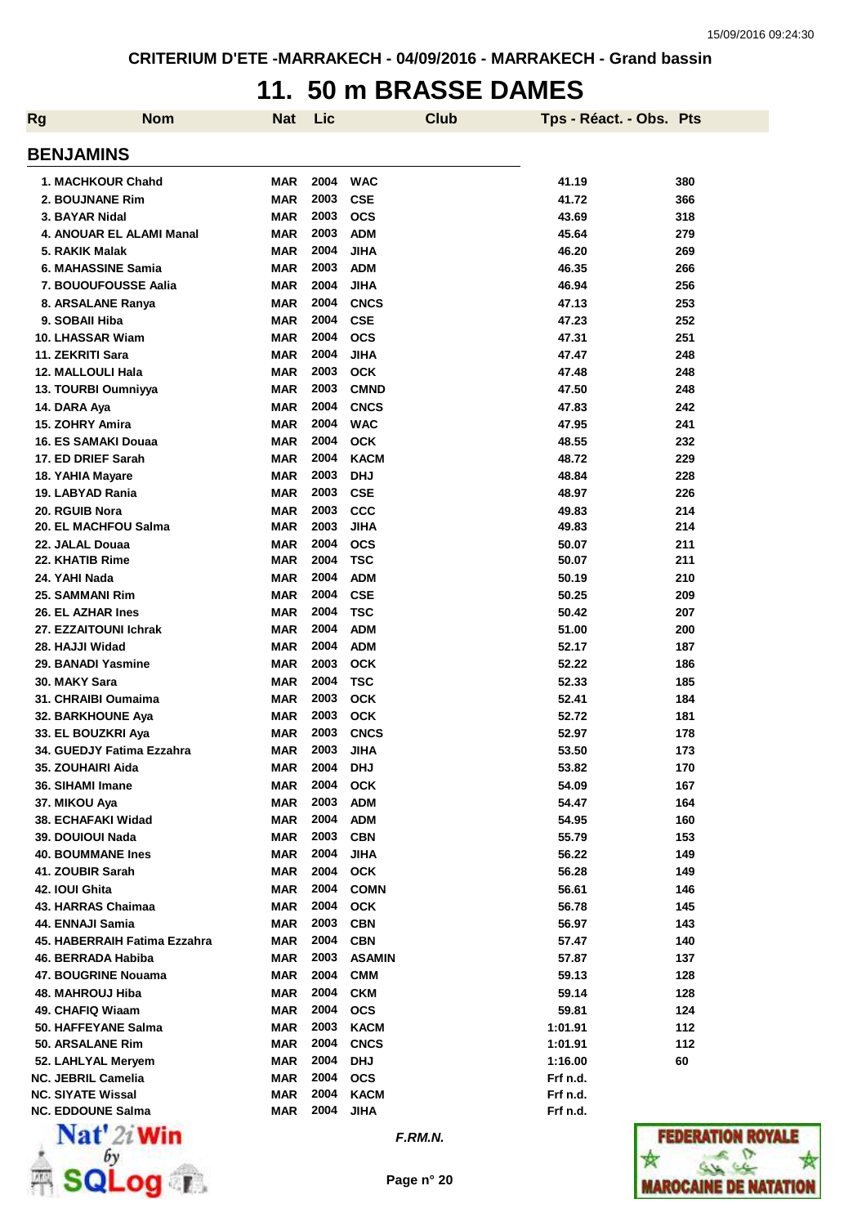## **11. 50 m BRASSE DAMES**

| <b>Rg</b> | <b>Nom</b>                   | <b>Nat</b> | Lic  | <b>Club</b>   | Tps - Réact. - Obs. Pts |     |
|-----------|------------------------------|------------|------|---------------|-------------------------|-----|
|           | <b>BENJAMINS</b>             |            |      |               |                         |     |
|           | 1. MACHKOUR Chahd            | <b>MAR</b> | 2004 | <b>WAC</b>    | 41.19                   | 380 |
|           | 2. BOUJNANE Rim              | <b>MAR</b> | 2003 | <b>CSE</b>    | 41.72                   | 366 |
|           | 3. BAYAR Nidal               | <b>MAR</b> | 2003 | <b>OCS</b>    | 43.69                   | 318 |
|           | 4. ANOUAR EL ALAMI Manal     | <b>MAR</b> | 2003 | <b>ADM</b>    | 45.64                   | 279 |
|           | 5. RAKIK Malak               | <b>MAR</b> | 2004 | <b>JIHA</b>   | 46.20                   | 269 |
|           | 6. MAHASSINE Samia           | <b>MAR</b> | 2003 | <b>ADM</b>    | 46.35                   | 266 |
|           | <b>7. BOUOUFOUSSE Aalia</b>  |            | 2004 |               |                         |     |
|           |                              | <b>MAR</b> |      | <b>JIHA</b>   | 46.94                   | 256 |
|           | 8. ARSALANE Ranya            | <b>MAR</b> | 2004 | <b>CNCS</b>   | 47.13                   | 253 |
|           | 9. SOBAII Hiba               | <b>MAR</b> | 2004 | <b>CSE</b>    | 47.23                   | 252 |
|           | 10. LHASSAR Wiam             | <b>MAR</b> | 2004 | <b>OCS</b>    | 47.31                   | 251 |
|           | 11. ZEKRITI Sara             | <b>MAR</b> | 2004 | <b>JIHA</b>   | 47.47                   | 248 |
|           | <b>12. MALLOULI Hala</b>     | <b>MAR</b> | 2003 | <b>OCK</b>    | 47.48                   | 248 |
|           | 13. TOURBI Oumniyya          | <b>MAR</b> | 2003 | <b>CMND</b>   | 47.50                   | 248 |
|           | 14. DARA Aya                 | <b>MAR</b> | 2004 | <b>CNCS</b>   | 47.83                   | 242 |
|           | 15. ZOHRY Amira              | <b>MAR</b> | 2004 | <b>WAC</b>    | 47.95                   | 241 |
|           | 16. ES SAMAKI Douaa          | <b>MAR</b> | 2004 | <b>OCK</b>    | 48.55                   | 232 |
|           | 17. ED DRIEF Sarah           | <b>MAR</b> | 2004 | <b>KACM</b>   | 48.72                   | 229 |
|           | 18. YAHIA Mayare             | <b>MAR</b> | 2003 | <b>DHJ</b>    | 48.84                   | 228 |
|           | 19. LABYAD Rania             | <b>MAR</b> | 2003 | <b>CSE</b>    | 48.97                   | 226 |
|           | 20. RGUIB Nora               | <b>MAR</b> | 2003 | CCC           | 49.83                   | 214 |
|           | 20. EL MACHFOU Salma         | <b>MAR</b> | 2003 | <b>JIHA</b>   | 49.83                   | 214 |
|           |                              |            |      |               |                         |     |
|           | 22. JALAL Douaa              | <b>MAR</b> | 2004 | <b>OCS</b>    | 50.07                   | 211 |
|           | 22. KHATIB Rime              | <b>MAR</b> | 2004 | <b>TSC</b>    | 50.07                   | 211 |
|           | 24. YAHI Nada                | <b>MAR</b> | 2004 | <b>ADM</b>    | 50.19                   | 210 |
|           | 25. SAMMANI Rim              | <b>MAR</b> | 2004 | <b>CSE</b>    | 50.25                   | 209 |
|           | <b>26. EL AZHAR Ines</b>     | <b>MAR</b> | 2004 | <b>TSC</b>    | 50.42                   | 207 |
|           | 27. EZZAITOUNI Ichrak        | <b>MAR</b> | 2004 | <b>ADM</b>    | 51.00                   | 200 |
|           | 28. HAJJI Widad              | <b>MAR</b> | 2004 | <b>ADM</b>    | 52.17                   | 187 |
|           | 29. BANADI Yasmine           | <b>MAR</b> | 2003 | <b>OCK</b>    | 52.22                   | 186 |
|           | 30. MAKY Sara                | <b>MAR</b> | 2004 | <b>TSC</b>    | 52.33                   | 185 |
|           | 31. CHRAIBI Oumaima          | <b>MAR</b> | 2003 | <b>OCK</b>    | 52.41                   | 184 |
|           | 32. BARKHOUNE Aya            | <b>MAR</b> | 2003 | <b>OCK</b>    | 52.72                   | 181 |
|           | 33. EL BOUZKRI Aya           | <b>MAR</b> | 2003 | <b>CNCS</b>   | 52.97                   | 178 |
|           | 34. GUEDJY Fatima Ezzahra    | <b>MAR</b> | 2003 | JIHA          | 53.50                   | 173 |
|           | 35. ZOUHAIRI Aida            | <b>MAR</b> | 2004 | <b>DHJ</b>    | 53.82                   | 170 |
|           | 36. SIHAMI Imane             | <b>MAR</b> | 2004 | <b>OCK</b>    | 54.09                   | 167 |
|           | 37. MIKOU Aya                | <b>MAR</b> | 2003 | <b>ADM</b>    | 54.47                   | 164 |
|           |                              | <b>MAR</b> | 2004 | <b>ADM</b>    | 54.95                   | 160 |
|           | 38. ECHAFAKI Widad           |            | 2003 |               |                         |     |
|           | 39. DOUIOUI Nada             | <b>MAR</b> |      | <b>CBN</b>    | 55.79                   | 153 |
|           | <b>40. BOUMMANE Ines</b>     | <b>MAR</b> | 2004 | <b>JIHA</b>   | 56.22                   | 149 |
|           | 41. ZOUBIR Sarah             | <b>MAR</b> | 2004 | <b>OCK</b>    | 56.28                   | 149 |
|           | 42. IOUI Ghita               | <b>MAR</b> | 2004 | <b>COMN</b>   | 56.61                   | 146 |
|           | 43. HARRAS Chaimaa           | <b>MAR</b> | 2004 | <b>OCK</b>    | 56.78                   | 145 |
|           | 44. ENNAJI Samia             | <b>MAR</b> | 2003 | <b>CBN</b>    | 56.97                   | 143 |
|           | 45. HABERRAIH Fatima Ezzahra | <b>MAR</b> | 2004 | <b>CBN</b>    | 57.47                   | 140 |
|           | 46. BERRADA Habiba           | MAR        | 2003 | <b>ASAMIN</b> | 57.87                   | 137 |
|           | 47. BOUGRINE Nouama          | MAR        | 2004 | <b>CMM</b>    | 59.13                   | 128 |
|           | 48. MAHROUJ Hiba             | MAR        | 2004 | <b>CKM</b>    | 59.14                   | 128 |
|           | 49. CHAFIQ Wiaam             | MAR        | 2004 | <b>OCS</b>    | 59.81                   | 124 |
|           | 50. HAFFEYANE Salma          | MAR        | 2003 | <b>KACM</b>   | 1:01.91                 | 112 |
|           | 50. ARSALANE Rim             | <b>MAR</b> | 2004 | <b>CNCS</b>   | 1:01.91                 | 112 |
|           | 52. LAHLYAL Meryem           | MAR        | 2004 | <b>DHJ</b>    | 1:16.00                 | 60  |
|           | <b>NC. JEBRIL Camelia</b>    | MAR        | 2004 | <b>OCS</b>    | Frf n.d.                |     |
|           | <b>NC. SIYATE Wissal</b>     | <b>MAR</b> | 2004 | <b>KACM</b>   | Frf n.d.                |     |
|           | <b>NC. EDDOUNE Salma</b>     | MAR        | 2004 | <b>JIHA</b>   | Frf n.d.                |     |
|           |                              |            |      |               |                         |     |



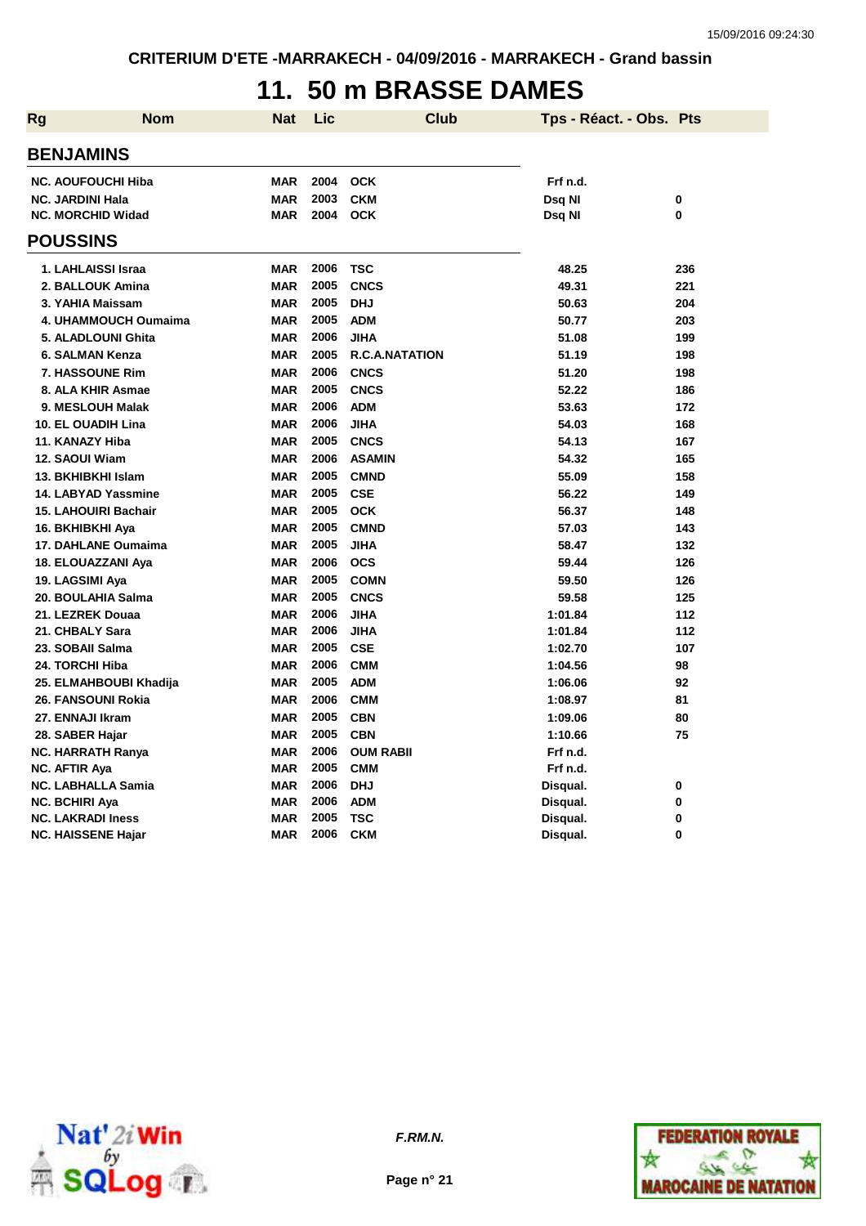## **11. 50 m BRASSE DAMES**

| Rg | <b>Nom</b>                  | <b>Nat</b> | Lic  | Club                  | Tps - Réact. - Obs. Pts |     |
|----|-----------------------------|------------|------|-----------------------|-------------------------|-----|
|    | <b>BENJAMINS</b>            |            |      |                       |                         |     |
|    | <b>NC. AOUFOUCHI Hiba</b>   | <b>MAR</b> | 2004 | <b>OCK</b>            | Frf n.d.                |     |
|    | <b>NC. JARDINI Hala</b>     | <b>MAR</b> | 2003 | <b>CKM</b>            | Dsq NI                  | 0   |
|    | <b>NC. MORCHID Widad</b>    | <b>MAR</b> | 2004 | <b>OCK</b>            | Dsq NI                  | 0   |
|    | <b>POUSSINS</b>             |            |      |                       |                         |     |
|    | 1. LAHLAISSI Israa          | <b>MAR</b> | 2006 | TSC                   | 48.25                   | 236 |
|    | 2. BALLOUK Amina            | <b>MAR</b> | 2005 | <b>CNCS</b>           | 49.31                   | 221 |
|    | 3. YAHIA Maissam            | <b>MAR</b> | 2005 | <b>DHJ</b>            | 50.63                   | 204 |
|    | <b>4. UHAMMOUCH Oumaima</b> | <b>MAR</b> | 2005 | <b>ADM</b>            | 50.77                   | 203 |
|    | 5. ALADLOUNI Ghita          | <b>MAR</b> | 2006 | <b>JIHA</b>           | 51.08                   | 199 |
|    | 6. SALMAN Kenza             | <b>MAR</b> | 2005 | <b>R.C.A.NATATION</b> | 51.19                   | 198 |
|    | 7. HASSOUNE Rim             | <b>MAR</b> | 2006 | <b>CNCS</b>           | 51.20                   | 198 |
|    | 8. ALA KHIR Asmae           | <b>MAR</b> | 2005 | <b>CNCS</b>           | 52.22                   | 186 |
|    | 9. MESLOUH Malak            | <b>MAR</b> | 2006 | <b>ADM</b>            | 53.63                   | 172 |
|    | <b>10. EL OUADIH Lina</b>   | <b>MAR</b> | 2006 | <b>JIHA</b>           | 54.03                   | 168 |
|    | 11. KANAZY Hiba             | <b>MAR</b> | 2005 | <b>CNCS</b>           | 54.13                   | 167 |
|    | 12. SAOUI Wiam              | <b>MAR</b> | 2006 | <b>ASAMIN</b>         | 54.32                   | 165 |
|    | 13. BKHIBKHI Islam          | <b>MAR</b> | 2005 | <b>CMND</b>           | 55.09                   | 158 |
|    | 14. LABYAD Yassmine         | <b>MAR</b> | 2005 | <b>CSE</b>            | 56.22                   | 149 |
|    | <b>15. LAHOUIRI Bachair</b> | <b>MAR</b> | 2005 | <b>OCK</b>            | 56.37                   | 148 |
|    | 16. BKHIBKHI Aya            | <b>MAR</b> | 2005 | <b>CMND</b>           | 57.03                   | 143 |
|    | 17. DAHLANE Oumaima         | <b>MAR</b> | 2005 | <b>JIHA</b>           | 58.47                   | 132 |
|    | 18. ELOUAZZANI Aya          | <b>MAR</b> | 2006 | <b>OCS</b>            | 59.44                   | 126 |
|    | 19. LAGSIMI Aya             | <b>MAR</b> | 2005 | <b>COMN</b>           | 59.50                   | 126 |
|    | 20. BOULAHIA Salma          | <b>MAR</b> | 2005 | <b>CNCS</b>           | 59.58                   | 125 |
|    | 21. LEZREK Douaa            | <b>MAR</b> | 2006 | <b>JIHA</b>           | 1:01.84                 | 112 |
|    | 21. CHBALY Sara             | <b>MAR</b> | 2006 | <b>JIHA</b>           | 1:01.84                 | 112 |
|    | 23. SOBAII Salma            | <b>MAR</b> | 2005 | <b>CSE</b>            | 1:02.70                 | 107 |
|    | 24. TORCHI Hiba             | <b>MAR</b> | 2006 | <b>CMM</b>            | 1:04.56                 | 98  |
|    | 25. ELMAHBOUBI Khadija      | <b>MAR</b> | 2005 | <b>ADM</b>            | 1:06.06                 | 92  |
|    | 26. FANSOUNI Rokia          | <b>MAR</b> | 2006 | <b>CMM</b>            | 1:08.97                 | 81  |
|    | 27. ENNAJI Ikram            | <b>MAR</b> | 2005 | <b>CBN</b>            | 1:09.06                 | 80  |
|    | 28. SABER Hajar             | <b>MAR</b> | 2005 | <b>CBN</b>            | 1:10.66                 | 75  |
|    | <b>NC. HARRATH Ranya</b>    | <b>MAR</b> | 2006 | <b>OUM RABII</b>      | Frf n.d.                |     |
|    | NC. AFTIR Aya               | <b>MAR</b> | 2005 | <b>CMM</b>            | Frf n.d.                |     |
|    | <b>NC. LABHALLA Samia</b>   | <b>MAR</b> | 2006 | <b>DHJ</b>            | Disqual.                | 0   |
|    | <b>NC. BCHIRI Aya</b>       | <b>MAR</b> | 2006 | <b>ADM</b>            | Disqual.                | 0   |
|    | <b>NC. LAKRADI Iness</b>    | <b>MAR</b> | 2005 | <b>TSC</b>            | Disqual.                | 0   |
|    | <b>NC. HAISSENE Hajar</b>   | <b>MAR</b> | 2006 | <b>CKM</b>            | Disqual.                | 0   |



**F.RM.N.**

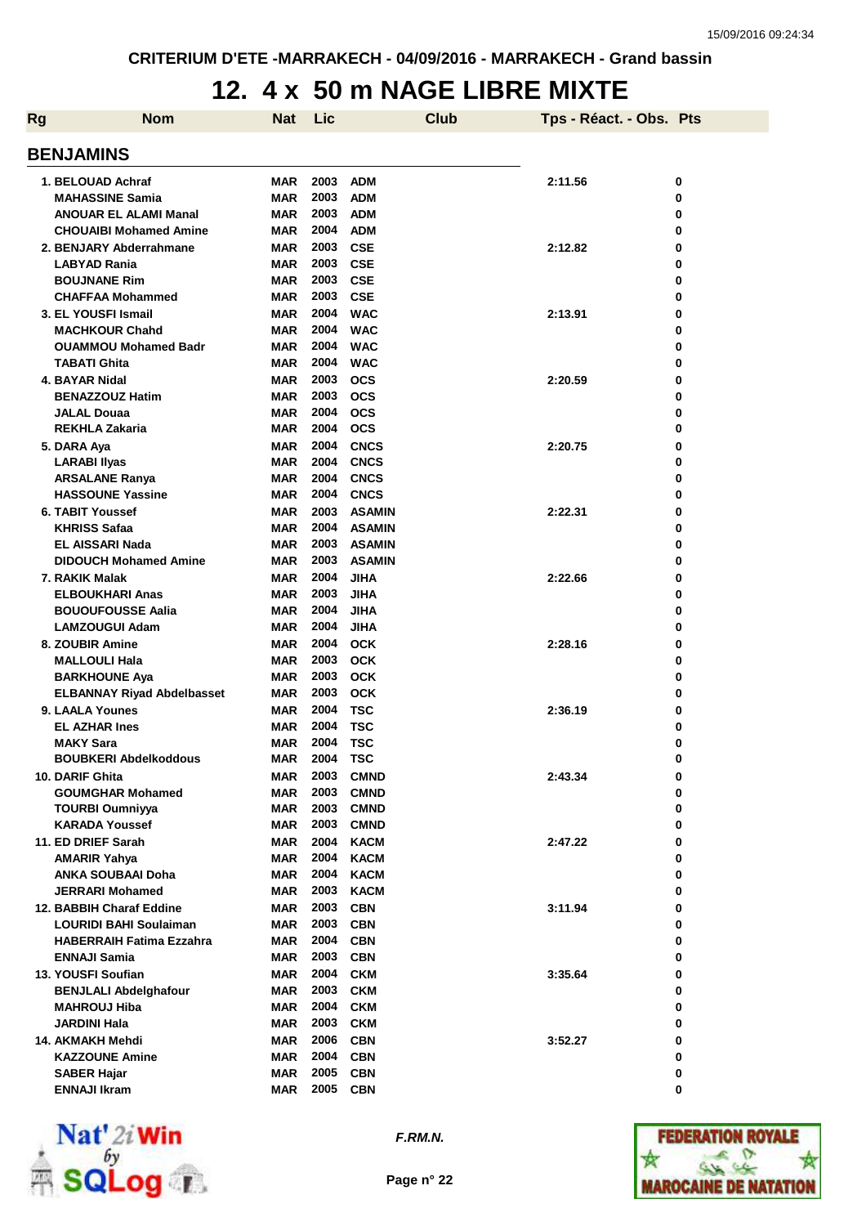## **12. 4 x 50 m NAGE LIBRE MIXTE**

| 0<br>0<br>0      |
|------------------|
| 0<br>0<br>0<br>0 |
| 0<br>0<br>0<br>0 |
| 0<br>0<br>0<br>0 |
| 0<br>0<br>0<br>0 |
| 0<br>0<br>0      |
| 0<br>0<br>0<br>0 |
| 0<br>0<br>0<br>0 |
| 0<br>0<br>0<br>0 |
| 0<br>0<br>0      |
| 0<br>0<br>0<br>0 |
| 0<br>0<br>0      |
| 0<br>0<br>0<br>0 |
| 0<br>0<br>0<br>0 |
| 0<br>0<br>0<br>0 |
|                  |



**F.RM.N.**